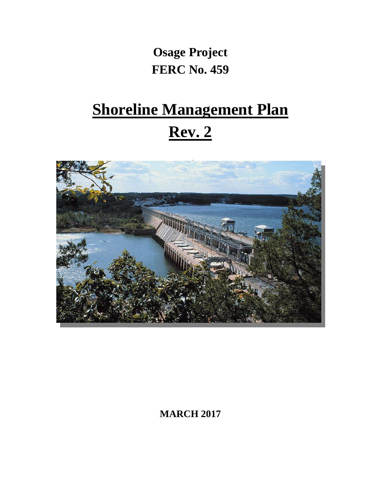# **Osage Project FERC No. 459**

# **Shoreline Management Plan Rev. 2**



**MARCH 2017**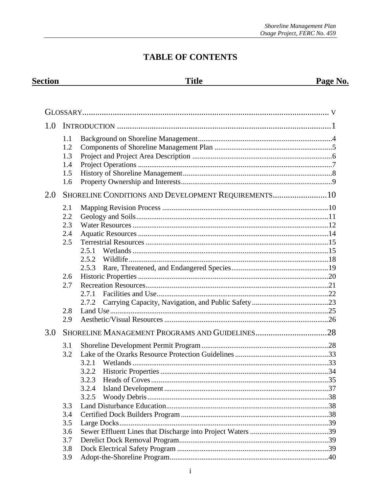Page No.

# **TABLE OF CONTENTS**

**Title** 

**Section** 

| 1.0 |     |                                                      |  |
|-----|-----|------------------------------------------------------|--|
|     | 1.1 |                                                      |  |
|     | 1.2 |                                                      |  |
|     | 1.3 |                                                      |  |
|     | 1.4 |                                                      |  |
|     | 1.5 |                                                      |  |
|     | 1.6 |                                                      |  |
| 2.0 |     | SHORELINE CONDITIONS AND DEVELOPMENT REQUIREMENTS 10 |  |
|     | 2.1 |                                                      |  |
|     | 2.2 |                                                      |  |
|     | 2.3 |                                                      |  |
|     | 2.4 |                                                      |  |
|     | 2.5 |                                                      |  |
|     |     | 2.5.1                                                |  |
|     |     | 2.5.2                                                |  |
|     |     | 2.5.3                                                |  |
|     | 2.6 |                                                      |  |
|     | 2.7 |                                                      |  |
|     |     | 2.7.1                                                |  |
|     |     | 2.7.2                                                |  |
|     | 2.8 |                                                      |  |
|     | 2.9 |                                                      |  |
| 3.0 |     |                                                      |  |
|     | 3.1 |                                                      |  |
|     | 3.2 |                                                      |  |
|     |     | 3.2.1                                                |  |
|     |     | 3.2.2                                                |  |
|     |     | 3.2.3                                                |  |
|     |     | 3.2.4                                                |  |
|     |     | 3.2.5                                                |  |
|     | 3.3 |                                                      |  |
|     | 3.4 |                                                      |  |
|     | 3.5 |                                                      |  |
|     | 3.6 |                                                      |  |
|     | 3.7 |                                                      |  |
|     | 3.8 |                                                      |  |
|     | 3.9 |                                                      |  |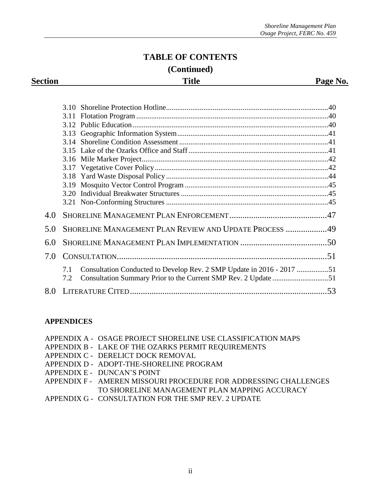# **TABLE OF CONTENTS (Continued)**

**Section Page No. Page No. Page No. Page No.** 

| 4.0 |                                                                                                                                                       |  |
|-----|-------------------------------------------------------------------------------------------------------------------------------------------------------|--|
| 5.0 | <b>SHORELINE MANAGEMENT PLAN REVIEW AND UPDATE PROCESS 49</b>                                                                                         |  |
| 6.0 |                                                                                                                                                       |  |
| 7.0 |                                                                                                                                                       |  |
|     | Consultation Conducted to Develop Rev. 2 SMP Update in 2016 - 2017 51<br>7.1<br>Consultation Summary Prior to the Current SMP Rev. 2 Update 51<br>7.2 |  |
|     |                                                                                                                                                       |  |

#### **APPENDICES**

|  | APPENDIX A - OSAGE PROJECT SHORELINE USE CLASSIFICATION MAPS |
|--|--------------------------------------------------------------|
|--|--------------------------------------------------------------|

- APPENDIX B LAKE OF THE OZARKS PERMIT REQUIREMENTS
- APPENDIX C DERELICT DOCK REMOVAL
- APPENDIX D ADOPT-THE-SHORELINE PROGRAM
- APPENDIX E DUNCAN'S POINT
- APPENDIX F AMEREN MISSOURI PROCEDURE FOR ADDRESSING CHALLENGES TO SHORELINE MANAGEMENT PLAN MAPPING ACCURACY
- APPENDIX G CONSULTATION FOR THE SMP REV. 2 UPDATE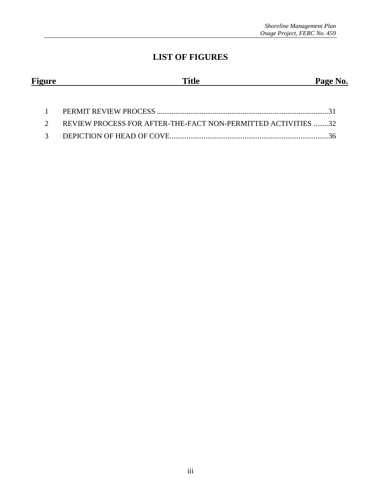# **LIST OF FIGURES**

| <b>Figure</b> | <b>Title</b> | Page No. |
|---------------|--------------|----------|
|               |              |          |

| 2 REVIEW PROCESS FOR AFTER-THE-FACT NON-PERMITTED ACTIVITIES 32 |  |
|-----------------------------------------------------------------|--|
|                                                                 |  |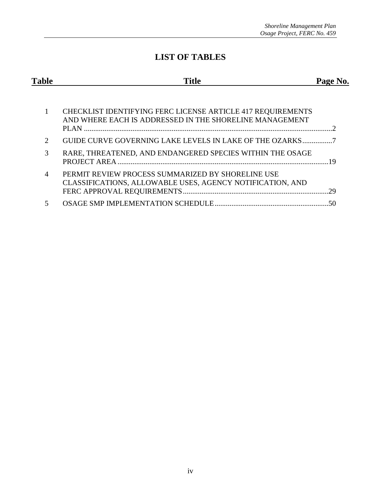# **LIST OF TABLES**

| <b>Table</b>                | Title                                                                                                                                 | Page No. |
|-----------------------------|---------------------------------------------------------------------------------------------------------------------------------------|----------|
|                             | <b>CHECKLIST IDENTIFYING FERC LICENSE ARTICLE 417 REQUIREMENTS</b><br>AND WHERE EACH IS ADDRESSED IN THE SHORELINE MANAGEMENT<br>PLAN |          |
| $\mathcal{D}_{\mathcal{L}}$ | GUIDE CURVE GOVERNING LAKE LEVELS IN LAKE OF THE OZARKS                                                                               |          |
| 3                           | RARE, THREATENED, AND ENDANGERED SPECIES WITHIN THE OSAGE                                                                             |          |
| 4                           | PERMIT REVIEW PROCESS SUMMARIZED BY SHORELINE USE<br>CLASSIFICATIONS, ALLOWABLE USES, AGENCY NOTIFICATION, AND                        | 29       |
| 5                           |                                                                                                                                       |          |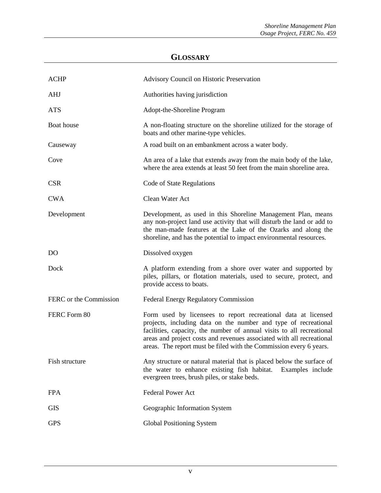# **GLOSSARY**

| <b>ACHP</b>            | Advisory Council on Historic Preservation                                                                                                                                                                                                                                                                                                                 |  |
|------------------------|-----------------------------------------------------------------------------------------------------------------------------------------------------------------------------------------------------------------------------------------------------------------------------------------------------------------------------------------------------------|--|
| <b>AHJ</b>             | Authorities having jurisdiction                                                                                                                                                                                                                                                                                                                           |  |
| <b>ATS</b>             | Adopt-the-Shoreline Program                                                                                                                                                                                                                                                                                                                               |  |
| Boat house             | A non-floating structure on the shoreline utilized for the storage of<br>boats and other marine-type vehicles.                                                                                                                                                                                                                                            |  |
| Causeway               | A road built on an embankment across a water body.                                                                                                                                                                                                                                                                                                        |  |
| Cove                   | An area of a lake that extends away from the main body of the lake,<br>where the area extends at least 50 feet from the main shoreline area.                                                                                                                                                                                                              |  |
| <b>CSR</b>             | Code of State Regulations                                                                                                                                                                                                                                                                                                                                 |  |
| <b>CWA</b>             | Clean Water Act                                                                                                                                                                                                                                                                                                                                           |  |
| Development            | Development, as used in this Shoreline Management Plan, means<br>any non-project land use activity that will disturb the land or add to<br>the man-made features at the Lake of the Ozarks and along the<br>shoreline, and has the potential to impact environmental resources.                                                                           |  |
| D <sub>O</sub>         | Dissolved oxygen                                                                                                                                                                                                                                                                                                                                          |  |
| Dock                   | A platform extending from a shore over water and supported by<br>piles, pillars, or flotation materials, used to secure, protect, and<br>provide access to boats.                                                                                                                                                                                         |  |
| FERC or the Commission | Federal Energy Regulatory Commission                                                                                                                                                                                                                                                                                                                      |  |
| FERC Form 80           | Form used by licensees to report recreational data at licensed<br>projects, including data on the number and type of recreational<br>facilities, capacity, the number of annual visits to all recreational<br>areas and project costs and revenues associated with all recreational<br>areas. The report must be filed with the Commission every 6 years. |  |
| Fish structure         | Any structure or natural material that is placed below the surface of<br>the water to enhance existing fish habitat.<br>Examples include<br>evergreen trees, brush piles, or stake beds.                                                                                                                                                                  |  |
| <b>FPA</b>             | <b>Federal Power Act</b>                                                                                                                                                                                                                                                                                                                                  |  |
| <b>GIS</b>             | Geographic Information System                                                                                                                                                                                                                                                                                                                             |  |
| <b>GPS</b>             | <b>Global Positioning System</b>                                                                                                                                                                                                                                                                                                                          |  |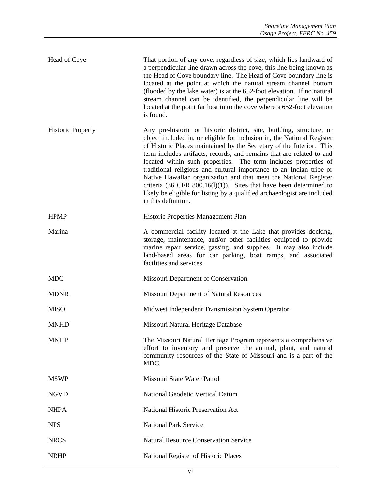| Head of Cove             | That portion of any cove, regardless of size, which lies landward of<br>a perpendicular line drawn across the cove, this line being known as<br>the Head of Cove boundary line. The Head of Cove boundary line is<br>located at the point at which the natural stream channel bottom<br>(flooded by the lake water) is at the 652-foot elevation. If no natural<br>stream channel can be identified, the perpendicular line will be<br>located at the point farthest in to the cove where a 652-foot elevation<br>is found.                                                                                                                                                                |
|--------------------------|--------------------------------------------------------------------------------------------------------------------------------------------------------------------------------------------------------------------------------------------------------------------------------------------------------------------------------------------------------------------------------------------------------------------------------------------------------------------------------------------------------------------------------------------------------------------------------------------------------------------------------------------------------------------------------------------|
| <b>Historic Property</b> | Any pre-historic or historic district, site, building, structure, or<br>object included in, or eligible for inclusion in, the National Register<br>of Historic Places maintained by the Secretary of the Interior. This<br>term includes artifacts, records, and remains that are related to and<br>located within such properties. The term includes properties of<br>traditional religious and cultural importance to an Indian tribe or<br>Native Hawaiian organization and that meet the National Register<br>criteria (36 CFR $800.16(1)(1)$ ). Sites that have been determined to<br>likely be eligible for listing by a qualified archaeologist are included<br>in this definition. |
| <b>HPMP</b>              | Historic Properties Management Plan                                                                                                                                                                                                                                                                                                                                                                                                                                                                                                                                                                                                                                                        |
| Marina                   | A commercial facility located at the Lake that provides docking,<br>storage, maintenance, and/or other facilities equipped to provide<br>marine repair service, gassing, and supplies. It may also include<br>land-based areas for car parking, boat ramps, and associated<br>facilities and services.                                                                                                                                                                                                                                                                                                                                                                                     |
| <b>MDC</b>               | Missouri Department of Conservation                                                                                                                                                                                                                                                                                                                                                                                                                                                                                                                                                                                                                                                        |
| <b>MDNR</b>              | Missouri Department of Natural Resources                                                                                                                                                                                                                                                                                                                                                                                                                                                                                                                                                                                                                                                   |
| <b>MISO</b>              | Midwest Independent Transmission System Operator                                                                                                                                                                                                                                                                                                                                                                                                                                                                                                                                                                                                                                           |
| <b>MNHD</b>              | Missouri Natural Heritage Database                                                                                                                                                                                                                                                                                                                                                                                                                                                                                                                                                                                                                                                         |
| <b>MNHP</b>              | The Missouri Natural Heritage Program represents a comprehensive<br>effort to inventory and preserve the animal, plant, and natural<br>community resources of the State of Missouri and is a part of the<br>MDC.                                                                                                                                                                                                                                                                                                                                                                                                                                                                           |
| <b>MSWP</b>              | Missouri State Water Patrol                                                                                                                                                                                                                                                                                                                                                                                                                                                                                                                                                                                                                                                                |
| <b>NGVD</b>              | <b>National Geodetic Vertical Datum</b>                                                                                                                                                                                                                                                                                                                                                                                                                                                                                                                                                                                                                                                    |
| <b>NHPA</b>              | National Historic Preservation Act                                                                                                                                                                                                                                                                                                                                                                                                                                                                                                                                                                                                                                                         |
| <b>NPS</b>               | <b>National Park Service</b>                                                                                                                                                                                                                                                                                                                                                                                                                                                                                                                                                                                                                                                               |
| <b>NRCS</b>              | <b>Natural Resource Conservation Service</b>                                                                                                                                                                                                                                                                                                                                                                                                                                                                                                                                                                                                                                               |
| <b>NRHP</b>              | National Register of Historic Places                                                                                                                                                                                                                                                                                                                                                                                                                                                                                                                                                                                                                                                       |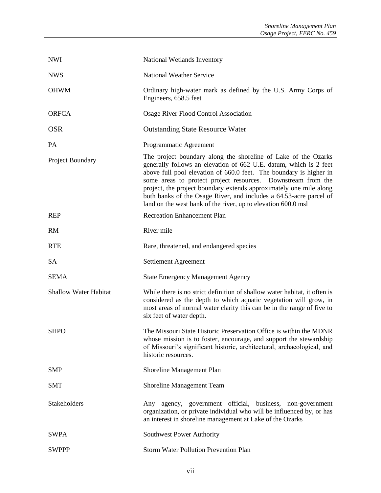| <b>NWI</b>                   | National Wetlands Inventory                                                                                                                                                                                                                                                                                                                                                                                                                                                            |  |
|------------------------------|----------------------------------------------------------------------------------------------------------------------------------------------------------------------------------------------------------------------------------------------------------------------------------------------------------------------------------------------------------------------------------------------------------------------------------------------------------------------------------------|--|
| <b>NWS</b>                   | <b>National Weather Service</b>                                                                                                                                                                                                                                                                                                                                                                                                                                                        |  |
| <b>OHWM</b>                  | Ordinary high-water mark as defined by the U.S. Army Corps of<br>Engineers, 658.5 feet                                                                                                                                                                                                                                                                                                                                                                                                 |  |
| <b>ORFCA</b>                 | Osage River Flood Control Association                                                                                                                                                                                                                                                                                                                                                                                                                                                  |  |
| <b>OSR</b>                   | <b>Outstanding State Resource Water</b>                                                                                                                                                                                                                                                                                                                                                                                                                                                |  |
| PA                           | Programmatic Agreement                                                                                                                                                                                                                                                                                                                                                                                                                                                                 |  |
| Project Boundary             | The project boundary along the shoreline of Lake of the Ozarks<br>generally follows an elevation of 662 U.E. datum, which is 2 feet<br>above full pool elevation of 660.0 feet. The boundary is higher in<br>some areas to protect project resources. Downstream from the<br>project, the project boundary extends approximately one mile along<br>both banks of the Osage River, and includes a 64.53-acre parcel of<br>land on the west bank of the river, up to elevation 600.0 msl |  |
| <b>REP</b>                   | <b>Recreation Enhancement Plan</b>                                                                                                                                                                                                                                                                                                                                                                                                                                                     |  |
| <b>RM</b>                    | River mile                                                                                                                                                                                                                                                                                                                                                                                                                                                                             |  |
| <b>RTE</b>                   | Rare, threatened, and endangered species                                                                                                                                                                                                                                                                                                                                                                                                                                               |  |
| <b>SA</b>                    | Settlement Agreement                                                                                                                                                                                                                                                                                                                                                                                                                                                                   |  |
| <b>SEMA</b>                  | <b>State Emergency Management Agency</b>                                                                                                                                                                                                                                                                                                                                                                                                                                               |  |
| <b>Shallow Water Habitat</b> | While there is no strict definition of shallow water habitat, it often is<br>considered as the depth to which aquatic vegetation will grow, in<br>most areas of normal water clarity this can be in the range of five to<br>six feet of water depth.                                                                                                                                                                                                                                   |  |
| <b>SHPO</b>                  | The Missouri State Historic Preservation Office is within the MDNR<br>whose mission is to foster, encourage, and support the stewardship<br>of Missouri's significant historic, architectural, archaeological, and<br>historic resources.                                                                                                                                                                                                                                              |  |
| <b>SMP</b>                   | Shoreline Management Plan                                                                                                                                                                                                                                                                                                                                                                                                                                                              |  |
| <b>SMT</b>                   | Shoreline Management Team                                                                                                                                                                                                                                                                                                                                                                                                                                                              |  |
| Stakeholders                 | Any agency, government official, business, non-government<br>organization, or private individual who will be influenced by, or has<br>an interest in shoreline management at Lake of the Ozarks                                                                                                                                                                                                                                                                                        |  |
|                              |                                                                                                                                                                                                                                                                                                                                                                                                                                                                                        |  |
| <b>SWPA</b>                  | Southwest Power Authority                                                                                                                                                                                                                                                                                                                                                                                                                                                              |  |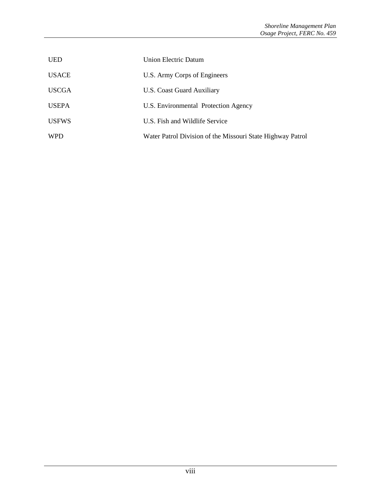| <b>UED</b>   | Union Electric Datum                                       |
|--------------|------------------------------------------------------------|
| <b>USACE</b> | U.S. Army Corps of Engineers                               |
| <b>USCGA</b> | U.S. Coast Guard Auxiliary                                 |
| <b>USEPA</b> | U.S. Environmental Protection Agency                       |
| <b>USFWS</b> | U.S. Fish and Wildlife Service                             |
| <b>WPD</b>   | Water Patrol Division of the Missouri State Highway Patrol |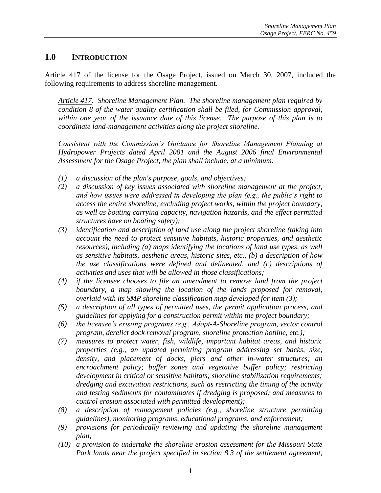#### **1.0 INTRODUCTION**

Article 417 of the license for the Osage Project, issued on March 30, 2007, included the following requirements to address shoreline management.

*Article 417. Shoreline Management Plan. The shoreline management plan required by condition 8 of the water quality certification shall be filed, for Commission approval, within one year of the issuance date of this license. The purpose of this plan is to coordinate land-management activities along the project shoreline.*

*Consistent with the Commission's Guidance for Shoreline Management Planning at Hydropower Projects dated April 2001 and the August 2006 final Environmental Assessment for the Osage Project, the plan shall include, at a minimum:*

- *(1) a discussion of the plan's purpose, goals, and objectives;*
- *(2) a discussion of key issues associated with shoreline management at the project, and how issues were addressed in developing the plan (e.g., the public's right to access the entire shoreline, excluding project works, within the project boundary, as well as boating carrying capacity, navigation hazards, and the effect permitted structures have on boating safety);*
- *(3) identification and description of land use along the project shoreline (taking into account the need to protect sensitive habitats, historic properties, and aesthetic resources), including (a) maps identifying the locations of land use types, as well as sensitive habitats, aesthetic areas, historic sites, etc., (b) a description of how the use classifications were defined and delineated, and (c) descriptions of activities and uses that will be allowed in those classifications;*
- *(4) if the licensee chooses to file an amendment to remove land from the project boundary, a map showing the location of the lands proposed for removal, overlaid with its SMP shoreline classification map developed for item (3);*
- *(5) a description of all types of permitted uses, the permit application process, and guidelines for applying for a construction permit within the project boundary;*
- *(6) the licensee's existing programs (e.g., Adopt-A-Shoreline program, vector control program, derelict dock removal program, shoreline protection hotline, etc.);*
- *(7) measures to protect water, fish, wildlife, important habitat areas, and historic properties (e.g., an updated permitting program addressing set backs, size, density, and placement of docks, piers and other in-water structures; an encroachment policy; buffer zones and vegetative buffer policy; restricting development in critical or sensitive habitats; shoreline stabilization requirements; dredging and excavation restrictions, such as restricting the timing of the activity and testing sediments for contaminates if dredging is proposed; and measures to control erosion associated with permitted development);*
- *(8) a description of management policies (e.g., shoreline structure permitting guidelines), monitoring programs, educational programs, and enforcement;*
- *(9) provisions for periodically reviewing and updating the shoreline management plan;*
- *(10) a provision to undertake the shoreline erosion assessment for the Missouri State Park lands near the project specified in section 8.3 of the settlement agreement,*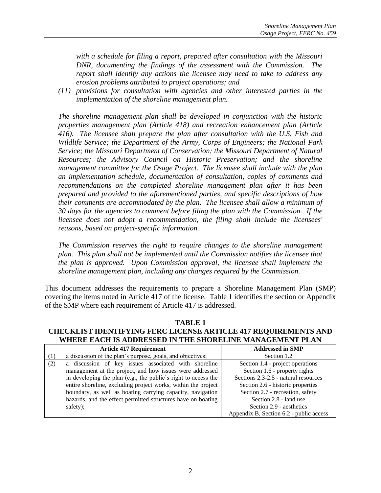*with a schedule for filing a report, prepared after consultation with the Missouri DNR, documenting the findings of the assessment with the Commission. The report shall identify any actions the licensee may need to take to address any erosion problems attributed to project operations; and*

*(11) provisions for consultation with agencies and other interested parties in the implementation of the shoreline management plan.*

*The shoreline management plan shall be developed in conjunction with the historic properties management plan (Article 418) and recreation enhancement plan (Article 416). The licensee shall prepare the plan after consultation with the U.S. Fish and Wildlife Service; the Department of the Army, Corps of Engineers; the National Park Service; the Missouri Department of Conservation; the Missouri Department of Natural Resources; the Advisory Council on Historic Preservation; and the shoreline management committee for the Osage Project. The licensee shall include with the plan an implementation schedule, documentation of consultation, copies of comments and recommendations on the completed shoreline management plan after it has been prepared and provided to the aforementioned parties, and specific descriptions of how their comments are accommodated by the plan. The licensee shall allow a minimum of 30 days for the agencies to comment before filing the plan with the Commission. If the licensee does not adopt a recommendation, the filing shall include the licensees' reasons, based on project-specific information.*

*The Commission reserves the right to require changes to the shoreline management plan. This plan shall not be implemented until the Commission notifies the licensee that the plan is approved. Upon Commission approval, the licensee shall implement the shoreline management plan, including any changes required by the Commission.*

This document addresses the requirements to prepare a Shoreline Management Plan (SMP) covering the items noted in Article 417 of the license. Table 1 identifies the section or Appendix of the SMP where each requirement of Article 417 is addressed.

**TABLE 1 CHECKLIST IDENTIFYING FERC LICENSE ARTICLE 417 REQUIREMENTS AND WHERE EACH IS ADDRESSED IN THE SHORELINE MANAGEMENT PLAN**

|          | <b>Article 417 Requirement</b>                                 | <b>Addressed in SMP</b>                 |
|----------|----------------------------------------------------------------|-----------------------------------------|
|          | a discussion of the plan's purpose, goals, and objectives;     | Section 1.2                             |
| (2)      | a discussion of key issues associated with shoreline           | Section 1.4 - project operations        |
|          | management at the project, and how issues were addressed       | Section 1.6 - property rights           |
|          | in developing the plan (e.g., the public's right to access the | Sections 2.3-2.5 - natural resources    |
|          | entire shoreline, excluding project works, within the project  | Section 2.6 - historic properties       |
|          | boundary, as well as boating carrying capacity, navigation     | Section 2.7 - recreation, safety        |
|          | hazards, and the effect permitted structures have on boating   | Section 2.8 - land use                  |
| safety); |                                                                | Section 2.9 - aesthetics                |
|          |                                                                | Appendix B, Section 6.2 - public access |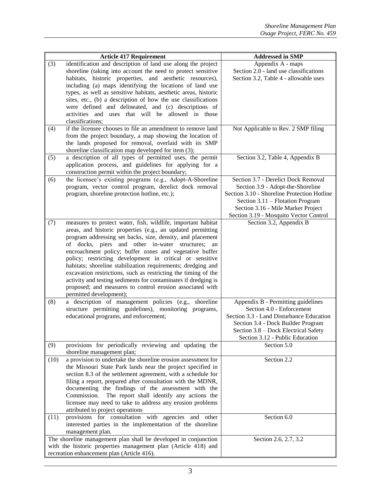|                                                         | <b>Article 417 Requirement</b>                                                                                                                                                                                                                                                                                                                                                                                                                                                                                                                                                                                                            | <b>Addressed in SMP</b>                                                                                                                                                                                                                     |
|---------------------------------------------------------|-------------------------------------------------------------------------------------------------------------------------------------------------------------------------------------------------------------------------------------------------------------------------------------------------------------------------------------------------------------------------------------------------------------------------------------------------------------------------------------------------------------------------------------------------------------------------------------------------------------------------------------------|---------------------------------------------------------------------------------------------------------------------------------------------------------------------------------------------------------------------------------------------|
| (3)<br>classifications;                                 | identification and description of land use along the project<br>shoreline (taking into account the need to protect sensitive<br>habitats, historic properties, and aesthetic resources),<br>including (a) maps identifying the locations of land use<br>types, as well as sensitive habitats, aesthetic areas, historic<br>sites, etc., (b) a description of how the use classifications<br>were defined and delineated, and (c) descriptions of<br>activities and uses that will be allowed in those                                                                                                                                     | Appendix A - maps<br>Section 2.0 - land use classifications<br>Section 3.2, Table 4 - allowable uses                                                                                                                                        |
| (4)                                                     | if the licensee chooses to file an amendment to remove land<br>from the project boundary, a map showing the location of<br>the lands proposed for removal, overlaid with its SMP<br>shoreline classification map developed for item (3);                                                                                                                                                                                                                                                                                                                                                                                                  | Not Applicable to Rev. 2 SMP filing                                                                                                                                                                                                         |
| (5)                                                     | a description of all types of permitted uses, the permit<br>application process, and guidelines for applying for a<br>construction permit within the project boundary;                                                                                                                                                                                                                                                                                                                                                                                                                                                                    | Section 3.2, Table 4, Appendix B                                                                                                                                                                                                            |
| (6)                                                     | the licensee's existing programs (e.g., Adopt-A-Shoreline<br>program, vector control program, derelict dock removal<br>program, shoreline protection hotline, etc.);                                                                                                                                                                                                                                                                                                                                                                                                                                                                      | Section 3.7 - Derelict Dock Removal<br>Section 3.9 - Adopt-the-Shoreline<br>Section 3.10 - Shoreline Protection Hotline<br>Section 3.11 – Flotation Program<br>Section 3.16 - Mile Marker Project<br>Section 3.19 - Mosquito Vector Control |
| (7)<br>permitted development);                          | measures to protect water, fish, wildlife, important habitat<br>areas, and historic properties (e.g., an updated permitting<br>program addressing set backs, size, density, and placement<br>of docks, piers and other in-water structures;<br>an<br>encroachment policy; buffer zones and vegetative buffer<br>policy; restricting development in critical or sensitive<br>habitats; shoreline stabilization requirements; dredging and<br>excavation restrictions, such as restricting the timing of the<br>activity and testing sediments for contaminates if dredging is<br>proposed; and measures to control erosion associated with | Section 3.2, Appendix B                                                                                                                                                                                                                     |
| (8)                                                     | a description of management policies (e.g.,<br>shoreline<br>structure permitting guidelines), monitoring programs,<br>educational programs, and enforcement;                                                                                                                                                                                                                                                                                                                                                                                                                                                                              | Appendix B - Permitting guidelines<br>Section 4.0 - Enforcement<br>Section 3.3 - Land Disturbance Education<br>Section 3.4 - Dock Builder Program<br>Section 3.8 - Dock Electrical Safety<br>Section 3.12 - Public Education                |
| (9)<br>shoreline management plan;                       | provisions for periodically reviewing and updating the                                                                                                                                                                                                                                                                                                                                                                                                                                                                                                                                                                                    | Section 5.0                                                                                                                                                                                                                                 |
| (10)<br>Commission.<br>attributed to project operations | a provision to undertake the shoreline erosion assessment for<br>the Missouri State Park lands near the project specified in<br>section 8.3 of the settlement agreement, with a schedule for<br>filing a report, prepared after consultation with the MDNR,<br>documenting the findings of the assessment with the<br>The report shall identify any actions the<br>licensee may need to take to address any erosion problems                                                                                                                                                                                                              | Section 2.2                                                                                                                                                                                                                                 |
| (11)<br>management plan.                                | provisions for consultation with agencies and other<br>interested parties in the implementation of the shoreline                                                                                                                                                                                                                                                                                                                                                                                                                                                                                                                          | Section 6.0                                                                                                                                                                                                                                 |
| recreation enhancement plan (Article 416).              | The shoreline management plan shall be developed in conjunction<br>with the historic properties management plan (Article 418) and                                                                                                                                                                                                                                                                                                                                                                                                                                                                                                         | Section 2.6, 2.7, 3.2                                                                                                                                                                                                                       |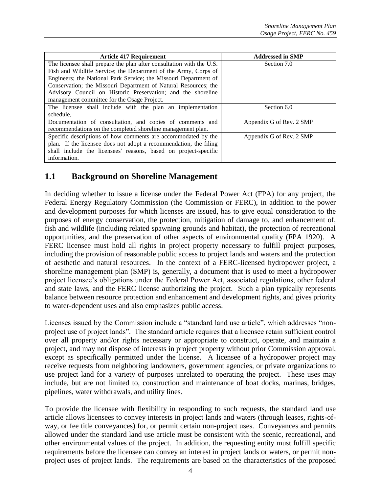| <b>Article 417 Requirement</b>                                       | <b>Addressed in SMP</b>  |  |
|----------------------------------------------------------------------|--------------------------|--|
| The licensee shall prepare the plan after consultation with the U.S. | Section 7.0              |  |
| Fish and Wildlife Service; the Department of the Army, Corps of      |                          |  |
| Engineers; the National Park Service; the Missouri Department of     |                          |  |
| Conservation; the Missouri Department of Natural Resources; the      |                          |  |
| Advisory Council on Historic Preservation; and the shoreline         |                          |  |
| management committee for the Osage Project.                          |                          |  |
| The licensee shall include with the plan an implementation           | Section 6.0              |  |
| schedule,                                                            |                          |  |
| Documentation of consultation, and copies of comments and            | Appendix G of Rev. 2 SMP |  |
| recommendations on the completed shoreline management plan.          |                          |  |
| Specific descriptions of how comments are accommodated by the        | Appendix G of Rev. 2 SMP |  |
| plan. If the licensee does not adopt a recommendation, the filing    |                          |  |
| shall include the licensees' reasons, based on project-specific      |                          |  |
| information.                                                         |                          |  |

# **1.1 Background on Shoreline Management**

In deciding whether to issue a license under the Federal Power Act (FPA) for any project, the Federal Energy Regulatory Commission (the Commission or FERC), in addition to the power and development purposes for which licenses are issued, has to give equal consideration to the purposes of energy conservation, the protection, mitigation of damage to, and enhancement of, fish and wildlife (including related spawning grounds and habitat), the protection of recreational opportunities, and the preservation of other aspects of environmental quality (FPA 1920). A FERC licensee must hold all rights in project property necessary to fulfill project purposes, including the provision of reasonable public access to project lands and waters and the protection of aesthetic and natural resources. In the context of a FERC-licensed hydropower project, a shoreline management plan (SMP) is, generally, a document that is used to meet a hydropower project licensee's obligations under the Federal Power Act, associated regulations, other federal and state laws, and the FERC license authorizing the project. Such a plan typically represents balance between resource protection and enhancement and development rights, and gives priority to water-dependent uses and also emphasizes public access.

Licenses issued by the Commission include a "standard land use article", which addresses "nonproject use of project lands". The standard article requires that a licensee retain sufficient control over all property and/or rights necessary or appropriate to construct, operate, and maintain a project, and may not dispose of interests in project property without prior Commission approval, except as specifically permitted under the license. A licensee of a hydropower project may receive requests from neighboring landowners, government agencies, or private organizations to use project land for a variety of purposes unrelated to operating the project. These uses may include, but are not limited to, construction and maintenance of boat docks, marinas, bridges, pipelines, water withdrawals, and utility lines.

To provide the licensee with flexibility in responding to such requests, the standard land use article allows licensees to convey interests in project lands and waters (through leases, rights-ofway, or fee title conveyances) for, or permit certain non-project uses. Conveyances and permits allowed under the standard land use article must be consistent with the scenic, recreational, and other environmental values of the project. In addition, the requesting entity must fulfill specific requirements before the licensee can convey an interest in project lands or waters, or permit nonproject uses of project lands. The requirements are based on the characteristics of the proposed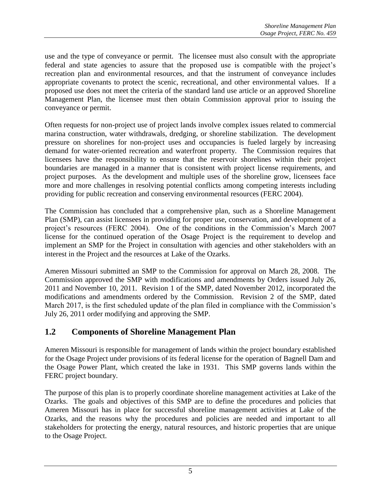use and the type of conveyance or permit. The licensee must also consult with the appropriate federal and state agencies to assure that the proposed use is compatible with the project's recreation plan and environmental resources, and that the instrument of conveyance includes appropriate covenants to protect the scenic, recreational, and other environmental values. If a proposed use does not meet the criteria of the standard land use article or an approved Shoreline Management Plan, the licensee must then obtain Commission approval prior to issuing the conveyance or permit.

Often requests for non-project use of project lands involve complex issues related to commercial marina construction, water withdrawals, dredging, or shoreline stabilization. The development pressure on shorelines for non-project uses and occupancies is fueled largely by increasing demand for water-oriented recreation and waterfront property. The Commission requires that licensees have the responsibility to ensure that the reservoir shorelines within their project boundaries are managed in a manner that is consistent with project license requirements, and project purposes. As the development and multiple uses of the shoreline grow, licensees face more and more challenges in resolving potential conflicts among competing interests including providing for public recreation and conserving environmental resources (FERC 2004).

The Commission has concluded that a comprehensive plan, such as a Shoreline Management Plan (SMP), can assist licensees in providing for proper use, conservation, and development of a project's resources (FERC 2004). One of the conditions in the Commission's March 2007 license for the continued operation of the Osage Project is the requirement to develop and implement an SMP for the Project in consultation with agencies and other stakeholders with an interest in the Project and the resources at Lake of the Ozarks.

Ameren Missouri submitted an SMP to the Commission for approval on March 28, 2008. The Commission approved the SMP with modifications and amendments by Orders issued July 26, 2011 and November 10, 2011. Revision 1 of the SMP, dated November 2012, incorporated the modifications and amendments ordered by the Commission. Revision 2 of the SMP, dated March 2017, is the first scheduled update of the plan filed in compliance with the Commission's July 26, 2011 order modifying and approving the SMP.

# **1.2 Components of Shoreline Management Plan**

Ameren Missouri is responsible for management of lands within the project boundary established for the Osage Project under provisions of its federal license for the operation of Bagnell Dam and the Osage Power Plant, which created the lake in 1931. This SMP governs lands within the FERC project boundary.

The purpose of this plan is to properly coordinate shoreline management activities at Lake of the Ozarks. The goals and objectives of this SMP are to define the procedures and policies that Ameren Missouri has in place for successful shoreline management activities at Lake of the Ozarks, and the reasons why the procedures and policies are needed and important to all stakeholders for protecting the energy, natural resources, and historic properties that are unique to the Osage Project.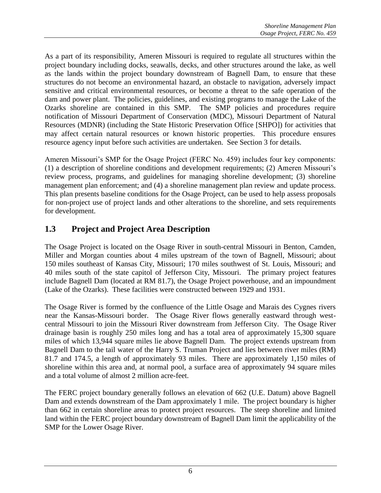As a part of its responsibility, Ameren Missouri is required to regulate all structures within the project boundary including docks, seawalls, decks, and other structures around the lake, as well as the lands within the project boundary downstream of Bagnell Dam, to ensure that these structures do not become an environmental hazard, an obstacle to navigation, adversely impact sensitive and critical environmental resources, or become a threat to the safe operation of the dam and power plant. The policies, guidelines, and existing programs to manage the Lake of the Ozarks shoreline are contained in this SMP. The SMP policies and procedures require notification of Missouri Department of Conservation (MDC), Missouri Department of Natural Resources (MDNR) (including the State Historic Preservation Office [SHPO]) for activities that may affect certain natural resources or known historic properties. This procedure ensures resource agency input before such activities are undertaken. See Section 3 for details.

Ameren Missouri's SMP for the Osage Project (FERC No. 459) includes four key components: (1) a description of shoreline conditions and development requirements; (2) Ameren Missouri's review process, programs, and guidelines for managing shoreline development; (3) shoreline management plan enforcement; and (4) a shoreline management plan review and update process. This plan presents baseline conditions for the Osage Project, can be used to help assess proposals for non-project use of project lands and other alterations to the shoreline, and sets requirements for development.

# **1.3 Project and Project Area Description**

The Osage Project is located on the Osage River in south-central Missouri in Benton, Camden, Miller and Morgan counties about 4 miles upstream of the town of Bagnell, Missouri; about 150 miles southeast of Kansas City, Missouri; 170 miles southwest of St. Louis, Missouri; and 40 miles south of the state capitol of Jefferson City, Missouri. The primary project features include Bagnell Dam (located at RM 81.7), the Osage Project powerhouse, and an impoundment (Lake of the Ozarks). These facilities were constructed between 1929 and 1931.

The Osage River is formed by the confluence of the Little Osage and Marais des Cygnes rivers near the Kansas-Missouri border. The Osage River flows generally eastward through westcentral Missouri to join the Missouri River downstream from Jefferson City. The Osage River drainage basin is roughly 250 miles long and has a total area of approximately 15,300 square miles of which 13,944 square miles lie above Bagnell Dam. The project extends upstream from Bagnell Dam to the tail water of the Harry S. Truman Project and lies between river miles (RM) 81.7 and 174.5, a length of approximately 93 miles. There are approximately 1,150 miles of shoreline within this area and, at normal pool, a surface area of approximately 94 square miles and a total volume of almost 2 million acre-feet.

The FERC project boundary generally follows an elevation of 662 (U.E. Datum) above Bagnell Dam and extends downstream of the Dam approximately 1 mile. The project boundary is higher than 662 in certain shoreline areas to protect project resources. The steep shoreline and limited land within the FERC project boundary downstream of Bagnell Dam limit the applicability of the SMP for the Lower Osage River.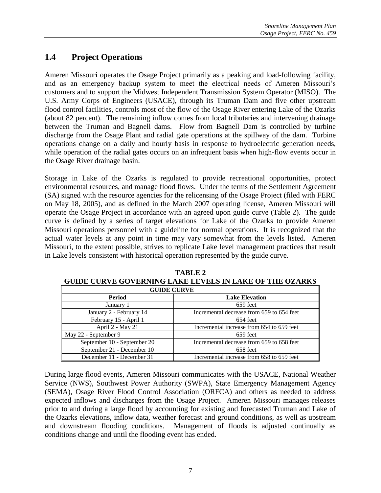# **1.4 Project Operations**

Ameren Missouri operates the Osage Project primarily as a peaking and load-following facility, and as an emergency backup system to meet the electrical needs of Ameren Missouri's customers and to support the Midwest Independent Transmission System Operator (MISO). The U.S. Army Corps of Engineers (USACE), through its Truman Dam and five other upstream flood control facilities, controls most of the flow of the Osage River entering Lake of the Ozarks (about 82 percent). The remaining inflow comes from local tributaries and intervening drainage between the Truman and Bagnell dams. Flow from Bagnell Dam is controlled by turbine discharge from the Osage Plant and radial gate operations at the spillway of the dam. Turbine operations change on a daily and hourly basis in response to hydroelectric generation needs, while operation of the radial gates occurs on an infrequent basis when high-flow events occur in the Osage River drainage basin.

Storage in Lake of the Ozarks is regulated to provide recreational opportunities, protect environmental resources, and manage flood flows. Under the terms of the Settlement Agreement (SA) signed with the resource agencies for the relicensing of the Osage Project (filed with FERC on May 18, 2005), and as defined in the March 2007 operating license, Ameren Missouri will operate the Osage Project in accordance with an agreed upon guide curve (Table 2). The guide curve is defined by a series of target elevations for Lake of the Ozarks to provide Ameren Missouri operations personnel with a guideline for normal operations. It is recognized that the actual water levels at any point in time may vary somewhat from the levels listed. Ameren Missouri, to the extent possible, strives to replicate Lake level management practices that result in Lake levels consistent with historical operation represented by the guide curve.

| <b>GUIDE CURVE</b>          |                                           |  |
|-----------------------------|-------------------------------------------|--|
| Period                      | <b>Lake Elevation</b>                     |  |
| January 1                   | 659 feet                                  |  |
| January 2 - February 14     | Incremental decrease from 659 to 654 feet |  |
| February 15 - April 1       | 654 feet                                  |  |
| April 2 - May 21            | Incremental increase from 654 to 659 feet |  |
| May 22 - September 9        | 659 feet                                  |  |
| September 10 - September 20 | Incremental decrease from 659 to 658 feet |  |
| September 21 - December 10  | 658 feet                                  |  |
| December 11 - December 31   | Incremental increase from 658 to 659 feet |  |

**TABLE 2 GUIDE CURVE GOVERNING LAKE LEVELS IN LAKE OF THE OZARKS**

During large flood events, Ameren Missouri communicates with the USACE, National Weather Service (NWS), Southwest Power Authority (SWPA), State Emergency Management Agency (SEMA), Osage River Flood Control Association (ORFCA) and others as needed to address expected inflows and discharges from the Osage Project. Ameren Missouri manages releases prior to and during a large flood by accounting for existing and forecasted Truman and Lake of the Ozarks elevations, inflow data, weather forecast and ground conditions, as well as upstream and downstream flooding conditions. Management of floods is adjusted continually as conditions change and until the flooding event has ended.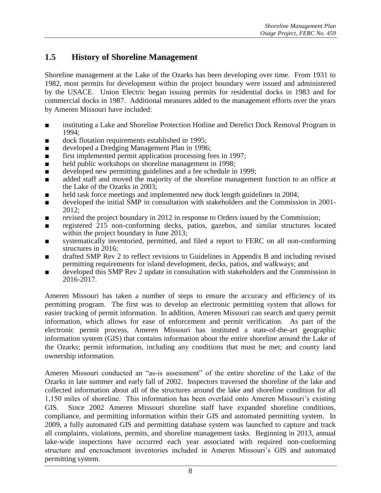# **1.5 History of Shoreline Management**

Shoreline management at the Lake of the Ozarks has been developing over time. From 1931 to 1982, most permits for development within the project boundary were issued and administered by the USACE. Union Electric began issuing permits for residential docks in 1983 and for commercial docks in 1987. Additional measures added to the management efforts over the years by Ameren Missouri have included:

- instituting a Lake and Shoreline Protection Hotline and Derelict Dock Removal Program in 1994;
- dock flotation requirements established in 1995;
- developed a Dredging Management Plan in 1996;
- first implemented permit application processing fees in 1997;
- held public workshops on shoreline management in 1998;
- developed new permitting guidelines and a fee schedule in 1999;
- added staff and moved the majority of the shoreline management function to an office at the Lake of the Ozarks in 2003;
- held task force meetings and implemented new dock length guidelines in 2004;
- developed the initial SMP in consultation with stakeholders and the Commission in 2001-2012;
- revised the project boundary in 2012 in response to Orders issued by the Commission;
- registered 215 non-conforming decks, patios, gazebos, and similar structures located within the project boundary in June 2013;
- systematically inventoried, permitted, and filed a report to FERC on all non-conforming structures in 2016;
- drafted SMP Rev 2 to reflect revisions to Guidelines in Appendix B and including revised permitting requirements for island development, decks, patios, and walkways; and
- developed this SMP Rev 2 update in consultation with stakeholders and the Commission in 2016-2017.

Ameren Missouri has taken a number of steps to ensure the accuracy and efficiency of its permitting program. The first was to develop an electronic permitting system that allows for easier tracking of permit information. In addition, Ameren Missouri can search and query permit information, which allows for ease of enforcement and permit verification. As part of the electronic permit process, Ameren Missouri has instituted a state-of-the-art geographic information system (GIS) that contains information about the entire shoreline around the Lake of the Ozarks; permit information, including any conditions that must be met; and county land ownership information.

Ameren Missouri conducted an "as-is assessment" of the entire shoreline of the Lake of the Ozarks in late summer and early fall of 2002. Inspectors traversed the shoreline of the lake and collected information about all of the structures around the lake and shoreline condition for all 1,150 miles of shoreline. This information has been overlaid onto Ameren Missouri's existing GIS. Since 2002 Ameren Missouri shoreline staff have expanded shoreline conditions, compliance, and permitting information within their GIS and automated permitting system. In 2009, a fully automated GIS and permitting database system was launched to capture and track all complaints, violations, permits, and shoreline management tasks. Beginning in 2013, annual lake-wide inspections have occurred each year associated with required non-conforming structure and encroachment inventories included in Ameren Missouri's GIS and automated permitting system.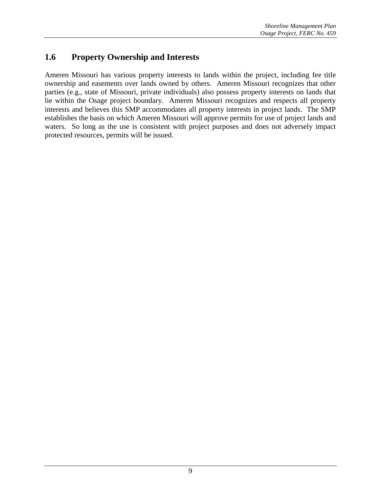# **1.6 Property Ownership and Interests**

Ameren Missouri has various property interests to lands within the project, including fee title ownership and easements over lands owned by others. Ameren Missouri recognizes that other parties (e.g., state of Missouri, private individuals) also possess property interests on lands that lie within the Osage project boundary. Ameren Missouri recognizes and respects all property interests and believes this SMP accommodates all property interests in project lands. The SMP establishes the basis on which Ameren Missouri will approve permits for use of project lands and waters. So long as the use is consistent with project purposes and does not adversely impact protected resources, permits will be issued.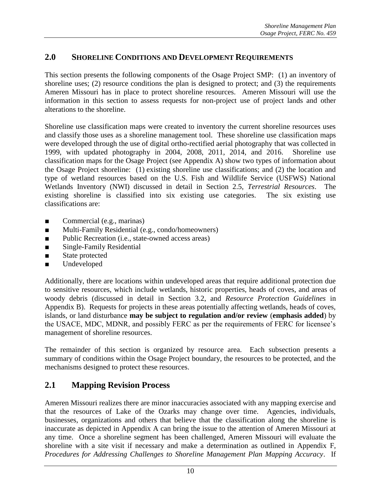# **2.0 SHORELINE CONDITIONS AND DEVELOPMENT REQUIREMENTS**

This section presents the following components of the Osage Project SMP: (1) an inventory of shoreline uses; (2) resource conditions the plan is designed to protect; and (3) the requirements Ameren Missouri has in place to protect shoreline resources. Ameren Missouri will use the information in this section to assess requests for non-project use of project lands and other alterations to the shoreline.

Shoreline use classification maps were created to inventory the current shoreline resources uses and classify those uses as a shoreline management tool. These shoreline use classification maps were developed through the use of digital ortho-rectified aerial photography that was collected in 1999, with updated photography in 2004, 2008, 2011, 2014, and 2016. Shoreline use classification maps for the Osage Project (see Appendix A) show two types of information about the Osage Project shoreline: (1) existing shoreline use classifications; and (2) the location and type of wetland resources based on the U.S. Fish and Wildlife Service (USFWS) National Wetlands Inventory (NWI) discussed in detail in Section 2.5, *Terrestrial Resources*. The existing shoreline is classified into six existing use categories. The six existing use classifications are:

- Commercial (e.g., marinas)
- Multi-Family Residential (e.g., condo/homeowners)
- Public Recreation (i.e., state-owned access areas)
- Single-Family Residential
- State protected
- Undeveloped

Additionally, there are locations within undeveloped areas that require additional protection due to sensitive resources, which include wetlands, historic properties, heads of coves, and areas of woody debris (discussed in detail in Section 3.2, and *Resource Protection Guidelines* in Appendix B). Requests for projects in these areas potentially affecting wetlands, heads of coves, islands, or land disturbance **may be subject to regulation and/or review** (**emphasis added**) by the USACE, MDC, MDNR, and possibly FERC as per the requirements of FERC for licensee's management of shoreline resources.

The remainder of this section is organized by resource area. Each subsection presents a summary of conditions within the Osage Project boundary, the resources to be protected, and the mechanisms designed to protect these resources.

# **2.1 Mapping Revision Process**

Ameren Missouri realizes there are minor inaccuracies associated with any mapping exercise and that the resources of Lake of the Ozarks may change over time. Agencies, individuals, businesses, organizations and others that believe that the classification along the shoreline is inaccurate as depicted in Appendix A can bring the issue to the attention of Ameren Missouri at any time. Once a shoreline segment has been challenged, Ameren Missouri will evaluate the shoreline with a site visit if necessary and make a determination as outlined in Appendix F, *Procedures for Addressing Challenges to Shoreline Management Plan Mapping Accuracy*. If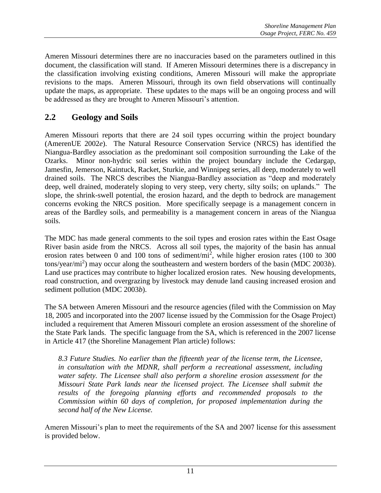Ameren Missouri determines there are no inaccuracies based on the parameters outlined in this document, the classification will stand. If Ameren Missouri determines there is a discrepancy in the classification involving existing conditions, Ameren Missouri will make the appropriate revisions to the maps. Ameren Missouri, through its own field observations will continually update the maps, as appropriate. These updates to the maps will be an ongoing process and will be addressed as they are brought to Ameren Missouri's attention.

# **2.2 Geology and Soils**

Ameren Missouri reports that there are 24 soil types occurring within the project boundary (AmerenUE 2002*e*). The Natural Resource Conservation Service (NRCS) has identified the Niangua-Bardley association as the predominant soil composition surrounding the Lake of the Ozarks. Minor non-hydric soil series within the project boundary include the Cedargap, Jamesfin, Jemerson, Kaintuck, Racket, Sturkie, and Winnipeg series, all deep, moderately to well drained soils. The NRCS describes the Niangua-Bardley association as "deep and moderately deep, well drained, moderately sloping to very steep, very cherty, silty soils; on uplands." The slope, the shrink-swell potential, the erosion hazard, and the depth to bedrock are management concerns evoking the NRCS position. More specifically seepage is a management concern in areas of the Bardley soils, and permeability is a management concern in areas of the Niangua soils.

The MDC has made general comments to the soil types and erosion rates within the East Osage River basin aside from the NRCS. Across all soil types, the majority of the basin has annual erosion rates between 0 and 100 tons of sediment/mi<sup>2</sup>, while higher erosion rates (100 to 300) tons/year/mi<sup>2</sup> ) may occur along the southeastern and western borders of the basin (MDC 2003*b*). Land use practices may contribute to higher localized erosion rates. New housing developments, road construction, and overgrazing by livestock may denude land causing increased erosion and sediment pollution (MDC 2003*b*).

The SA between Ameren Missouri and the resource agencies (filed with the Commission on May 18, 2005 and incorporated into the 2007 license issued by the Commission for the Osage Project) included a requirement that Ameren Missouri complete an erosion assessment of the shoreline of the State Park lands. The specific language from the SA, which is referenced in the 2007 license in Article 417 (the Shoreline Management Plan article) follows:

*8.3 Future Studies. No earlier than the fifteenth year of the license term, the Licensee, in consultation with the MDNR, shall perform a recreational assessment, including water safety. The Licensee shall also perform a shoreline erosion assessment for the Missouri State Park lands near the licensed project. The Licensee shall submit the results of the foregoing planning efforts and recommended proposals to the Commission within 60 days of completion, for proposed implementation during the second half of the New License.*

Ameren Missouri's plan to meet the requirements of the SA and 2007 license for this assessment is provided below.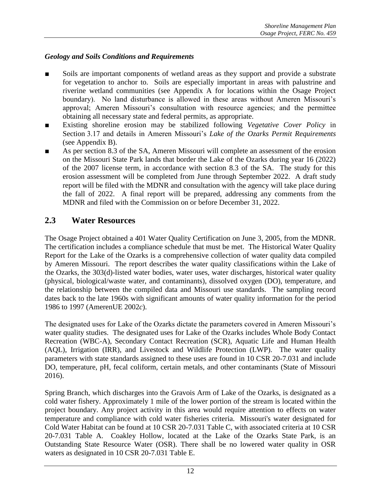#### *Geology and Soils Conditions and Requirements*

- Soils are important components of wetland areas as they support and provide a substrate for vegetation to anchor to. Soils are especially important in areas with palustrine and riverine wetland communities (see Appendix A for locations within the Osage Project boundary). No land disturbance is allowed in these areas without Ameren Missouri's approval; Ameren Missouri's consultation with resource agencies; and the permittee obtaining all necessary state and federal permits, as appropriate.
- Existing shoreline erosion may be stabilized following *Vegetative Cover Policy* in Section 3.17 and details in Ameren Missouri's *Lake of the Ozarks Permit Requirements* (see Appendix B).
- As per section 8.3 of the SA, Ameren Missouri will complete an assessment of the erosion on the Missouri State Park lands that border the Lake of the Ozarks during year 16 (2022) of the 2007 license term, in accordance with section 8.3 of the SA. The study for this erosion assessment will be completed from June through September 2022. A draft study report will be filed with the MDNR and consultation with the agency will take place during the fall of 2022. A final report will be prepared, addressing any comments from the MDNR and filed with the Commission on or before December 31, 2022.

# **2.3 Water Resources**

The Osage Project obtained a 401 Water Quality Certification on June 3, 2005, from the MDNR. The certification includes a compliance schedule that must be met. The Historical Water Quality Report for the Lake of the Ozarks is a comprehensive collection of water quality data compiled by Ameren Missouri. The report describes the water quality classifications within the Lake of the Ozarks, the 303(d)-listed water bodies, water uses, water discharges, historical water quality (physical, biological/waste water, and contaminants), dissolved oxygen (DO), temperature, and the relationship between the compiled data and Missouri use standards. The sampling record dates back to the late 1960s with significant amounts of water quality information for the period 1986 to 1997 (AmerenUE 2002*c*).

The designated uses for Lake of the Ozarks dictate the parameters covered in Ameren Missouri's water quality studies. The designated uses for Lake of the Ozarks includes Whole Body Contact Recreation (WBC-A), Secondary Contact Recreation (SCR), Aquatic Life and Human Health (AQL), Irrigation (IRR), and Livestock and Wildlife Protection (LWP). The water quality parameters with state standards assigned to these uses are found in 10 CSR 20-7.031 and include DO, temperature, pH, fecal coliform, certain metals, and other contaminants (State of Missouri 2016).

Spring Branch, which discharges into the Gravois Arm of Lake of the Ozarks, is designated as a cold water fishery. Approximately 1 mile of the lower portion of the stream is located within the project boundary. Any project activity in this area would require attention to effects on water temperature and compliance with cold water fisheries criteria. Missouri's water designated for Cold Water Habitat can be found at 10 CSR 20-7.031 Table C, with associated criteria at 10 CSR 20-7.031 Table A. Coakley Hollow, located at the Lake of the Ozarks State Park, is an Outstanding State Resource Water (OSR). There shall be no lowered water quality in OSR waters as designated in 10 CSR 20-7.031 Table E.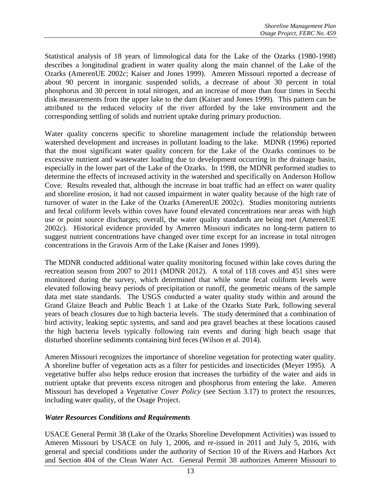Statistical analysis of 18 years of limnological data for the Lake of the Ozarks (1980-1998) describes a longitudinal gradient in water quality along the main channel of the Lake of the Ozarks (AmerenUE 2002*c*; Kaiser and Jones 1999). Ameren Missouri reported a decrease of about 90 percent in inorganic suspended solids, a decrease of about 30 percent in total phosphorus and 30 percent in total nitrogen, and an increase of more than four times in Secchi disk measurements from the upper lake to the dam (Kaiser and Jones 1999). This pattern can be attributed to the reduced velocity of the river afforded by the lake environment and the corresponding settling of solids and nutrient uptake during primary production.

Water quality concerns specific to shoreline management include the relationship between watershed development and increases in pollutant loading to the lake. MDNR (1996) reported that the most significant water quality concern for the Lake of the Ozarks continues to be excessive nutrient and wastewater loading due to development occurring in the drainage basin, especially in the lower part of the Lake of the Ozarks. In 1998, the MDNR performed studies to determine the effects of increased activity in the watershed and specifically on Anderson Hollow Cove. Results revealed that, although the increase in boat traffic had an effect on water quality and shoreline erosion, it had not caused impairment in water quality because of the high rate of turnover of water in the Lake of the Ozarks (AmerenUE  $2002c$ ). Studies monitoring nutrients and fecal coliform levels within coves have found elevated concentrations near areas with high use or point source discharges; overall, the water quality standards are being met (AmerenUE 2002*c*). Historical evidence provided by Ameren Missouri indicates no long-term pattern to suggest nutrient concentrations have changed over time except for an increase in total nitrogen concentrations in the Gravois Arm of the Lake (Kaiser and Jones 1999).

The MDNR conducted additional water quality monitoring focused within lake coves during the recreation season from 2007 to 2011 (MDNR 2012). A total of 118 coves and 451 sites were monitored during the survey, which determined that while some fecal coliform levels were elevated following heavy periods of precipitation or runoff, the geometric means of the sample data met state standards. The USGS conducted a water quality study within and around the Grand Glaize Beach and Public Beach 1 at Lake of the Ozarks State Park, following several years of beach closures due to high bacteria levels. The study determined that a combination of bird activity, leaking septic systems, and sand and pea gravel beaches at these locations caused the high bacteria levels typically following rain events and during high beach usage that disturbed shoreline sediments containing bird feces (Wilson et al. 2014).

Ameren Missouri recognizes the importance of shoreline vegetation for protecting water quality. A shoreline buffer of vegetation acts as a filter for pesticides and insecticides (Meyer 1995). A vegetative buffer also helps reduce erosion that increases the turbidity of the water and aids in nutrient uptake that prevents excess nitrogen and phosphorus from entering the lake. Ameren Missouri has developed a *Vegetative Cover Policy* (see Section 3.17) to protect the resources, including water quality, of the Osage Project.

#### *Water Resources Conditions and Requirements*

USACE General Permit 38 (Lake of the Ozarks Shoreline Development Activities) was issued to Ameren Missouri by USACE on July 1, 2006, and re-issued in 2011 and July 5, 2016, with general and special conditions under the authority of Section 10 of the Rivers and Harbors Act and Section 404 of the Clean Water Act. General Permit 38 authorizes Ameren Missouri to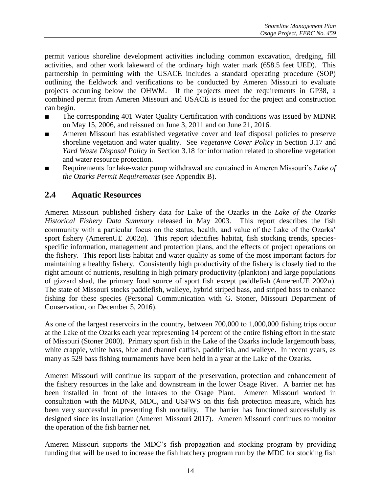permit various shoreline development activities including common excavation, dredging, fill activities, and other work lakeward of the ordinary high water mark (658.5 feet UED). This partnership in permitting with the USACE includes a standard operating procedure (SOP) outlining the fieldwork and verifications to be conducted by Ameren Missouri to evaluate projects occurring below the OHWM. If the projects meet the requirements in GP38, a combined permit from Ameren Missouri and USACE is issued for the project and construction can begin.

- The corresponding 401 Water Quality Certification with conditions was issued by MDNR on May 15, 2006, and reissued on June 3, 2011 and on June 21, 2016.
- Ameren Missouri has established vegetative cover and leaf disposal policies to preserve shoreline vegetation and water quality. See *Vegetative Cover Policy* in Section 3.17 and *Yard Waste Disposal Policy* in Section 3.18 for information related to shoreline vegetation and water resource protection.
- Requirements for lake-water pump withdrawal are contained in Ameren Missouri's *Lake of the Ozarks Permit Requirements* (see Appendix B).

# **2.4 Aquatic Resources**

Ameren Missouri published fishery data for Lake of the Ozarks in the *Lake of the Ozarks Historical Fishery Data Summary* released in May 2003. This report describes the fish community with a particular focus on the status, health, and value of the Lake of the Ozarks' sport fishery (AmerenUE 2002*a*). This report identifies habitat, fish stocking trends, speciesspecific information, management and protection plans, and the effects of project operations on the fishery. This report lists habitat and water quality as some of the most important factors for maintaining a healthy fishery. Consistently high productivity of the fishery is closely tied to the right amount of nutrients, resulting in high primary productivity (plankton) and large populations of gizzard shad, the primary food source of sport fish except paddlefish (AmerenUE 2002*a*). The state of Missouri stocks paddlefish, walleye, hybrid striped bass, and striped bass to enhance fishing for these species (Personal Communication with G. Stoner, Missouri Department of Conservation, on December 5, 2016).

As one of the largest reservoirs in the country, between 700,000 to 1,000,000 fishing trips occur at the Lake of the Ozarks each year representing 14 percent of the entire fishing effort in the state of Missouri (Stoner 2000). Primary sport fish in the Lake of the Ozarks include largemouth bass, white crappie, white bass, blue and channel catfish, paddlefish, and walleye. In recent years, as many as 529 bass fishing tournaments have been held in a year at the Lake of the Ozarks.

Ameren Missouri will continue its support of the preservation, protection and enhancement of the fishery resources in the lake and downstream in the lower Osage River. A barrier net has been installed in front of the intakes to the Osage Plant. Ameren Missouri worked in consultation with the MDNR, MDC, and USFWS on this fish protection measure, which has been very successful in preventing fish mortality. The barrier has functioned successfully as designed since its installation (Ameren Missouri 2017). Ameren Missouri continues to monitor the operation of the fish barrier net.

Ameren Missouri supports the MDC's fish propagation and stocking program by providing funding that will be used to increase the fish hatchery program run by the MDC for stocking fish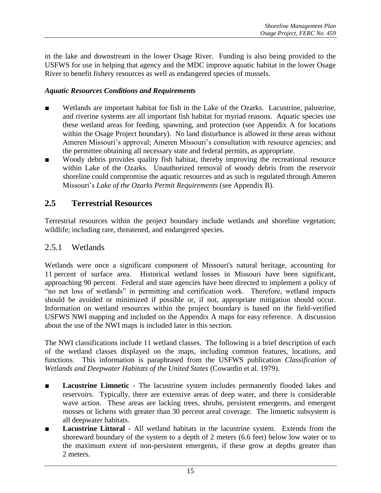in the lake and downstream in the lower Osage River. Funding is also being provided to the USFWS for use in helping that agency and the MDC improve aquatic habitat in the lower Osage River to benefit fishery resources as well as endangered species of mussels.

#### *Aquatic Resources Conditions and Requirements*

- Wetlands are important habitat for fish in the Lake of the Ozarks. Lacustrine, palustrine, and riverine systems are all important fish habitat for myriad reasons. Aquatic species use these wetland areas for feeding, spawning, and protection (see Appendix A for locations within the Osage Project boundary). No land disturbance is allowed in these areas without Ameren Missouri's approval; Ameren Missouri's consultation with resource agencies; and the permittee obtaining all necessary state and federal permits, as appropriate.
- Woody debris provides quality fish habitat, thereby improving the recreational resource within Lake of the Ozarks. Unauthorized removal of woody debris from the reservoir shoreline could compromise the aquatic resources and as such is regulated through Ameren Missouri's *Lake of the Ozarks Permit Requirements* (see Appendix B).

# **2.5 Terrestrial Resources**

Terrestrial resources within the project boundary include wetlands and shoreline vegetation; wildlife; including rare, threatened, and endangered species.

### 2.5.1 Wetlands

Wetlands were once a significant component of Missouri's natural heritage, accounting for 11 percent of surface area. Historical wetland losses in Missouri have been significant, approaching 90 percent. Federal and state agencies have been directed to implement a policy of "no net loss of wetlands" in permitting and certification work. Therefore, wetland impacts should be avoided or minimized if possible or, if not, appropriate mitigation should occur. Information on wetland resources within the project boundary is based on the field-verified USFWS NWI mapping and included on the Appendix A maps for easy reference. A discussion about the use of the NWI maps is included later in this section.

The NWI classifications include 11 wetland classes. The following is a brief description of each of the wetland classes displayed on the maps, including common features, locations, and functions. This information is paraphrased from the USFWS publication *Classification of Wetlands and Deepwater Habitats of the United States* (Cowardin et al. 1979).

- **Lacustrine Limnetic** The lacustrine system includes permanently flooded lakes and reservoirs. Typically, there are extensive areas of deep water, and there is considerable wave action. These areas are lacking trees, shrubs, persistent emergents, and emergent mosses or lichens with greater than 30 percent areal coverage. The limnetic subsystem is all deepwater habitats.
- Lacustrine Littoral All wetland habitats in the lacustrine system. Extends from the shoreward boundary of the system to a depth of 2 meters (6.6 feet) below low water or to the maximum extent of non-persistent emergents, if these grow at depths greater than 2 meters.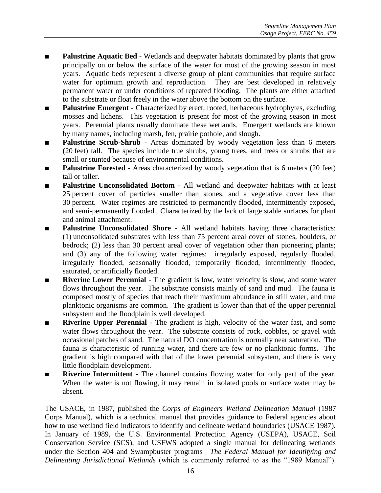- **Palustrine Aquatic Bed** Wetlands and deepwater habitats dominated by plants that grow principally on or below the surface of the water for most of the growing season in most years. Aquatic beds represent a diverse group of plant communities that require surface water for optimum growth and reproduction. They are best developed in relatively permanent water or under conditions of repeated flooding. The plants are either attached to the substrate or float freely in the water above the bottom on the surface.
- **Palustrine Emergent** Characterized by erect, rooted, herbaceous hydrophytes, excluding mosses and lichens. This vegetation is present for most of the growing season in most years. Perennial plants usually dominate these wetlands. Emergent wetlands are known by many names, including marsh, fen, prairie pothole, and slough.
- **Palustrine Scrub-Shrub** Areas dominated by woody vegetation less than 6 meters (20 feet) tall. The species include true shrubs, young trees, and trees or shrubs that are small or stunted because of environmental conditions.
- **Palustrine Forested** Areas characterized by woody vegetation that is 6 meters (20 feet) tall or taller.
- **Palustrine Unconsolidated Bottom** All wetland and deepwater habitats with at least 25 percent cover of particles smaller than stones, and a vegetative cover less than 30 percent. Water regimes are restricted to permanently flooded, intermittently exposed, and semi-permanently flooded. Characterized by the lack of large stable surfaces for plant and animal attachment.
- **Palustrine Unconsolidated Shore** All wetland habitats having three characteristics: (1) unconsolidated substrates with less than 75 percent areal cover of stones, boulders, or bedrock; (2) less than 30 percent areal cover of vegetation other than pioneering plants; and (3) any of the following water regimes: irregularly exposed, regularly flooded, irregularly flooded, seasonally flooded, temporarily flooded, intermittently flooded, saturated, or artificially flooded.
- **Riverine Lower Perennial** The gradient is low, water velocity is slow, and some water flows throughout the year. The substrate consists mainly of sand and mud. The fauna is composed mostly of species that reach their maximum abundance in still water, and true planktonic organisms are common. The gradient is lower than that of the upper perennial subsystem and the floodplain is well developed.
- **Riverine Upper Perennial** The gradient is high, velocity of the water fast, and some water flows throughout the year. The substrate consists of rock, cobbles, or gravel with occasional patches of sand. The natural DO concentration is normally near saturation. The fauna is characteristic of running water, and there are few or no planktonic forms. The gradient is high compared with that of the lower perennial subsystem, and there is very little floodplain development.
- **Riverine Intermittent** The channel contains flowing water for only part of the year. When the water is not flowing, it may remain in isolated pools or surface water may be absent.

The USACE, in 1987, published the *Corps of Engineers Wetland Delineation Manual* (1987 Corps Manual), which is a technical manual that provides guidance to Federal agencies about how to use wetland field indicators to identify and delineate wetland boundaries (USACE 1987). In January of 1989, the U.S. Environmental Protection Agency (USEPA), USACE, Soil Conservation Service (SCS), and USFWS adopted a single manual for delineating wetlands under the Section 404 and Swampbuster programs—*The Federal Manual for Identifying and Delineating Jurisdictional Wetlands* (which is commonly referred to as the "1989 Manual").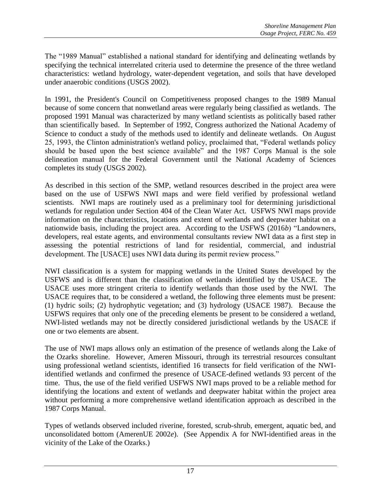The "1989 Manual" established a national standard for identifying and delineating wetlands by specifying the technical interrelated criteria used to determine the presence of the three wetland characteristics: wetland hydrology, water-dependent vegetation, and soils that have developed under anaerobic conditions (USGS 2002).

In 1991, the President's Council on Competitiveness proposed changes to the 1989 Manual because of some concern that nonwetland areas were regularly being classified as wetlands. The proposed 1991 Manual was characterized by many wetland scientists as politically based rather than scientifically based. In September of 1992, Congress authorized the National Academy of Science to conduct a study of the methods used to identify and delineate wetlands. On August 25, 1993, the Clinton administration's wetland policy, proclaimed that, "Federal wetlands policy should be based upon the best science available" and the 1987 Corps Manual is the sole delineation manual for the Federal Government until the National Academy of Sciences completes its study (USGS 2002).

As described in this section of the SMP, wetland resources described in the project area were based on the use of USFWS NWI maps and were field verified by professional wetland scientists. NWI maps are routinely used as a preliminary tool for determining jurisdictional wetlands for regulation under Section 404 of the Clean Water Act. USFWS NWI maps provide information on the characteristics, locations and extent of wetlands and deepwater habitat on a nationwide basis, including the project area. According to the USFWS (2016*b*) "Landowners, developers, real estate agents, and environmental consultants review NWI data as a first step in assessing the potential restrictions of land for residential, commercial, and industrial development. The [USACE] uses NWI data during its permit review process."

NWI classification is a system for mapping wetlands in the United States developed by the USFWS and is different than the classification of wetlands identified by the USACE. The USACE uses more stringent criteria to identify wetlands than those used by the NWI. The USACE requires that, to be considered a wetland, the following three elements must be present: (1) hydric soils; (2) hydrophytic vegetation; and (3) hydrology (USACE 1987). Because the USFWS requires that only one of the preceding elements be present to be considered a wetland, NWI-listed wetlands may not be directly considered jurisdictional wetlands by the USACE if one or two elements are absent.

The use of NWI maps allows only an estimation of the presence of wetlands along the Lake of the Ozarks shoreline. However, Ameren Missouri, through its terrestrial resources consultant using professional wetland scientists, identified 16 transects for field verification of the NWIidentified wetlands and confirmed the presence of USACE-defined wetlands 93 percent of the time. Thus, the use of the field verified USFWS NWI maps proved to be a reliable method for identifying the locations and extent of wetlands and deepwater habitat within the project area without performing a more comprehensive wetland identification approach as described in the 1987 Corps Manual.

Types of wetlands observed included riverine, forested, scrub-shrub, emergent, aquatic bed, and unconsolidated bottom (AmerenUE 2002*e*). (See Appendix A for NWI-identified areas in the vicinity of the Lake of the Ozarks.)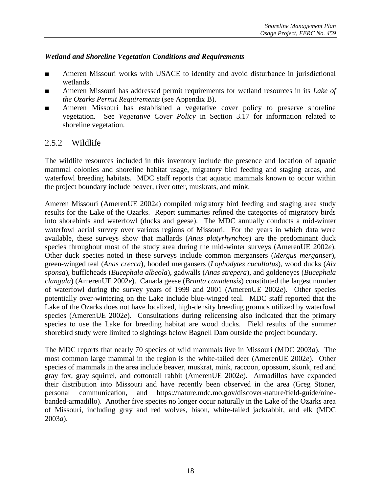#### *Wetland and Shoreline Vegetation Conditions and Requirements*

- Ameren Missouri works with USACE to identify and avoid disturbance in jurisdictional wetlands.
- Ameren Missouri has addressed permit requirements for wetland resources in its *Lake of the Ozarks Permit Requirements* (see Appendix B).
- Ameren Missouri has established a vegetative cover policy to preserve shoreline vegetation. See *Vegetative Cover Policy* in Section 3.17 for information related to shoreline vegetation.

# 2.5.2 Wildlife

The wildlife resources included in this inventory include the presence and location of aquatic mammal colonies and shoreline habitat usage, migratory bird feeding and staging areas, and waterfowl breeding habitats. MDC staff reports that aquatic mammals known to occur within the project boundary include beaver, river otter, muskrats, and mink.

Ameren Missouri (AmerenUE 2002*e*) compiled migratory bird feeding and staging area study results for the Lake of the Ozarks. Report summaries refined the categories of migratory birds into shorebirds and waterfowl (ducks and geese). The MDC annually conducts a mid-winter waterfowl aerial survey over various regions of Missouri. For the years in which data were available, these surveys show that mallards (*Anas platyrhynchos*) are the predominant duck species throughout most of the study area during the mid-winter surveys (AmerenUE 2002*e*). Other duck species noted in these surveys include common mergansers (*Mergus merganser*), green-winged teal (*Anas crecca*), hooded mergansers (*Lophodytes cucullatus*), wood ducks (*Aix sponsa*), buffleheads (*Bucephala albeola*), gadwalls (*Anas strepera*), and goldeneyes (*Bucephala clangula*) (AmerenUE 2002*e*). Canada geese (*Branta canadensis*) constituted the largest number of waterfowl during the survey years of 1999 and 2001 (AmerenUE 2002*e*). Other species potentially over-wintering on the Lake include blue-winged teal. MDC staff reported that the Lake of the Ozarks does not have localized, high-density breeding grounds utilized by waterfowl species (AmerenUE 2002*e*). Consultations during relicensing also indicated that the primary species to use the Lake for breeding habitat are wood ducks. Field results of the summer shorebird study were limited to sightings below Bagnell Dam outside the project boundary.

The MDC reports that nearly 70 species of wild mammals live in Missouri (MDC 2003*a*). The most common large mammal in the region is the white-tailed deer (AmerenUE 2002*e*). Other species of mammals in the area include beaver, muskrat, mink, raccoon, opossum, skunk, red and gray fox, gray squirrel, and cottontail rabbit (AmerenUE 2002*e*). Armadillos have expanded their distribution into Missouri and have recently been observed in the area (Greg Stoner, personal communication, and https://nature.mdc.mo.gov/discover-nature/field-guide/ninebanded-armadillo). Another five species no longer occur naturally in the Lake of the Ozarks area of Missouri, including gray and red wolves, bison, white-tailed jackrabbit, and elk (MDC 2003*a*).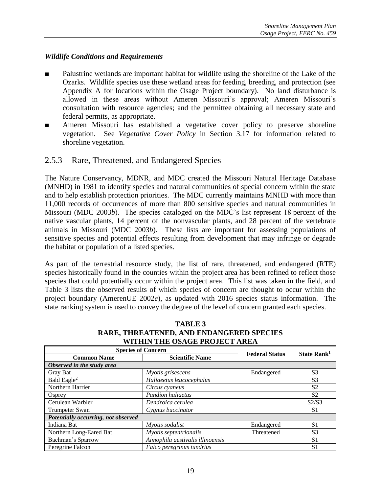#### *Wildlife Conditions and Requirements*

- Palustrine wetlands are important habitat for wildlife using the shoreline of the Lake of the Ozarks. Wildlife species use these wetland areas for feeding, breeding, and protection (see Appendix A for locations within the Osage Project boundary). No land disturbance is allowed in these areas without Ameren Missouri's approval; Ameren Missouri's consultation with resource agencies; and the permittee obtaining all necessary state and federal permits, as appropriate.
- Ameren Missouri has established a vegetative cover policy to preserve shoreline vegetation. See *Vegetative Cover Policy* in Section 3.17 for information related to shoreline vegetation.

# 2.5.3 Rare, Threatened, and Endangered Species

The Nature Conservancy, MDNR, and MDC created the Missouri Natural Heritage Database (MNHD) in 1981 to identify species and natural communities of special concern within the state and to help establish protection priorities. The MDC currently maintains MNHD with more than 11,000 records of occurrences of more than 800 sensitive species and natural communities in Missouri (MDC 2003*b*). The species cataloged on the MDC's list represent 18 percent of the native vascular plants, 14 percent of the nonvascular plants, and 28 percent of the vertebrate animals in Missouri (MDC 2003*b*). These lists are important for assessing populations of sensitive species and potential effects resulting from development that may infringe or degrade the habitat or population of a listed species.

As part of the terrestrial resource study, the list of rare, threatened, and endangered (RTE) species historically found in the counties within the project area has been refined to reflect those species that could potentially occur within the project area. This list was taken in the field, and Table 3 lists the observed results of which species of concern are thought to occur within the project boundary (AmerenUE 2002*e*), as updated with 2016 species status information. The state ranking system is used to convey the degree of the level of concern granted each species.

| WITHIN THE OGAUE I ROJECT AREA      |                                  |                       |                         |  |  |
|-------------------------------------|----------------------------------|-----------------------|-------------------------|--|--|
| <b>Species of Concern</b>           |                                  |                       |                         |  |  |
| <b>Common Name</b>                  | <b>Scientific Name</b>           | <b>Federal Status</b> | State Rank <sup>1</sup> |  |  |
| Observed in the study area          |                                  |                       |                         |  |  |
| Gray Bat                            | Myotis grisescens                | Endangered            | S <sub>3</sub>          |  |  |
| Bald Eagle <sup>2</sup>             | Haliaeetus leucocephalus         |                       | S <sub>3</sub>          |  |  |
| Northern Harrier                    | Circus cyaneus                   |                       | S <sub>2</sub>          |  |  |
| Osprey                              | <b>Pandion haliaetus</b>         |                       | S <sub>2</sub>          |  |  |
| Cerulean Warbler                    | Dendroica cerulea                |                       | S2/S3                   |  |  |
| Trumpeter Swan                      | Cygnus buccinator                |                       | S <sub>1</sub>          |  |  |
| Potentially occurring, not observed |                                  |                       |                         |  |  |
| Indiana Bat                         | Myotis sodalist                  | Endangered            | S <sub>1</sub>          |  |  |
| Northern Long-Eared Bat             | Myotis septentrionalis           | Threatened            | S <sub>3</sub>          |  |  |
| Bachman's Sparrow                   | Aimophila aestivalis illinoensis |                       | S1                      |  |  |
| Peregrine Falcon                    | Falco peregrinus tundrius        |                       | S1                      |  |  |

**TABLE 3 RARE, THREATENED, AND ENDANGERED SPECIES WITHIN THE OSAGE PROJECT AREA**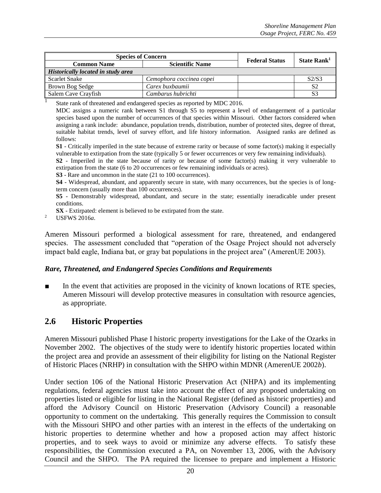| <b>Species of Concern</b>                 |                          | <b>Federal Status</b> | State Rank <sup>1</sup> |
|-------------------------------------------|--------------------------|-----------------------|-------------------------|
| <b>Common Name</b>                        | <b>Scientific Name</b>   |                       |                         |
| <b>Historically located in study area</b> |                          |                       |                         |
| Scarlet Snake                             | Cemophora coccinea copei |                       | S2/S3                   |
| <b>Brown Bog Sedge</b>                    | Carex buxbaumii          |                       | S <sub>2</sub>          |
| Salem Cave Crayfish                       | Cambarus hubrichti       |                       |                         |
| $\alpha$ , 1 $\alpha$ , 1 $\alpha$        | 11.3500001               |                       |                         |

State rank of threatened and endangered species as reported by MDC 2016.

MDC assigns a numeric rank between S1 through S5 to represent a level of endangerment of a particular species based upon the number of occurrences of that species within Missouri. Other factors considered when assigning a rank include: abundance, population trends, distribution, number of protected sites, degree of threat, suitable habitat trends, level of survey effort, and life history information. Assigned ranks are defined as follows:

**S1** - Critically imperiled in the state because of extreme rarity or because of some factor(s) making it especially vulnerable to extirpation from the state (typically 5 or fewer occurrences or very few remaining individuals).

**S2** - Imperiled in the state because of rarity or because of some factor(s) making it very vulnerable to extirpation from the state (6 to 20 occurrences or few remaining individuals or acres).

**S3** - Rare and uncommon in the state (21 to 100 occurrences).

**S4** - Widespread, abundant, and apparently secure in state, with many occurrences, but the species is of longterm concern (usually more than 100 occurrences).

**S5** - Demonstrably widespread, abundant, and secure in the state; essentially ineradicable under present conditions.

**SX** - Extirpated: element is believed to be extirpated from the state.

<sup>2</sup> USFWS 2016*a*.

Ameren Missouri performed a biological assessment for rare, threatened, and endangered species. The assessment concluded that "operation of the Osage Project should not adversely impact bald eagle, Indiana bat, or gray bat populations in the project area" (AmerenUE 2003).

#### *Rare, Threatened, and Endangered Species Conditions and Requirements*

In the event that activities are proposed in the vicinity of known locations of RTE species, Ameren Missouri will develop protective measures in consultation with resource agencies, as appropriate.

#### **2.6 Historic Properties**

Ameren Missouri published Phase I historic property investigations for the Lake of the Ozarks in November 2002. The objectives of the study were to identify historic properties located within the project area and provide an assessment of their eligibility for listing on the National Register of Historic Places (NRHP) in consultation with the SHPO within MDNR (AmerenUE 2002*b*).

Under section 106 of the National Historic Preservation Act (NHPA) and its implementing regulations, federal agencies must take into account the effect of any proposed undertaking on properties listed or eligible for listing in the National Register (defined as historic properties) and afford the Advisory Council on Historic Preservation (Advisory Council) a reasonable opportunity to comment on the undertaking. This generally requires the Commission to consult with the Missouri SHPO and other parties with an interest in the effects of the undertaking on historic properties to determine whether and how a proposed action may affect historic properties, and to seek ways to avoid or minimize any adverse effects. To satisfy these responsibilities, the Commission executed a PA, on November 13, 2006, with the Advisory Council and the SHPO. The PA required the licensee to prepare and implement a Historic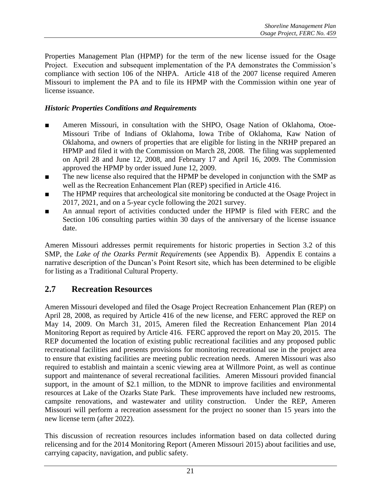Properties Management Plan (HPMP) for the term of the new license issued for the Osage Project. Execution and subsequent implementation of the PA demonstrates the Commission's compliance with section 106 of the NHPA. Article 418 of the 2007 license required Ameren Missouri to implement the PA and to file its HPMP with the Commission within one year of license issuance.

#### *Historic Properties Conditions and Requirements*

- Ameren Missouri, in consultation with the SHPO, Osage Nation of Oklahoma, Otoe-Missouri Tribe of Indians of Oklahoma, Iowa Tribe of Oklahoma, Kaw Nation of Oklahoma, and owners of properties that are eligible for listing in the NRHP prepared an HPMP and filed it with the Commission on March 28, 2008. The filing was supplemented on April 28 and June 12, 2008, and February 17 and April 16, 2009. The Commission approved the HPMP by order issued June 12, 2009.
- The new license also required that the HPMP be developed in conjunction with the SMP as well as the Recreation Enhancement Plan (REP) specified in Article 416.
- The HPMP requires that archeological site monitoring be conducted at the Osage Project in 2017, 2021, and on a 5-year cycle following the 2021 survey.
- An annual report of activities conducted under the HPMP is filed with FERC and the Section 106 consulting parties within 30 days of the anniversary of the license issuance date.

Ameren Missouri addresses permit requirements for historic properties in Section 3.2 of this SMP, the *Lake of the Ozarks Permit Requirements* (see Appendix B). Appendix E contains a narrative description of the Duncan's Point Resort site, which has been determined to be eligible for listing as a Traditional Cultural Property.

#### **2.7 Recreation Resources**

Ameren Missouri developed and filed the Osage Project Recreation Enhancement Plan (REP) on April 28, 2008, as required by Article 416 of the new license, and FERC approved the REP on May 14, 2009. On March 31, 2015, Ameren filed the Recreation Enhancement Plan 2014 Monitoring Report as required by Article 416. FERC approved the report on May 20, 2015. The REP documented the location of existing public recreational facilities and any proposed public recreational facilities and presents provisions for monitoring recreational use in the project area to ensure that existing facilities are meeting public recreation needs. Ameren Missouri was also required to establish and maintain a scenic viewing area at Willmore Point, as well as continue support and maintenance of several recreational facilities. Ameren Missouri provided financial support, in the amount of \$2.1 million, to the MDNR to improve facilities and environmental resources at Lake of the Ozarks State Park. These improvements have included new restrooms, campsite renovations, and wastewater and utility construction. Under the REP, Ameren Missouri will perform a recreation assessment for the project no sooner than 15 years into the new license term (after 2022).

This discussion of recreation resources includes information based on data collected during relicensing and for the 2014 Monitoring Report (Ameren Missouri 2015) about facilities and use, carrying capacity, navigation, and public safety.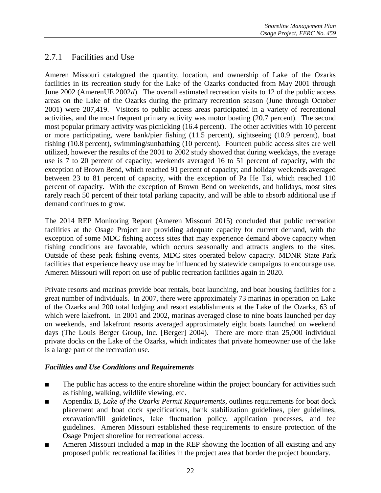# 2.7.1 Facilities and Use

Ameren Missouri catalogued the quantity, location, and ownership of Lake of the Ozarks facilities in its recreation study for the Lake of the Ozarks conducted from May 2001 through June 2002 (AmerenUE 2002*d*). The overall estimated recreation visits to 12 of the public access areas on the Lake of the Ozarks during the primary recreation season (June through October 2001) were 207,419. Visitors to public access areas participated in a variety of recreational activities, and the most frequent primary activity was motor boating (20.7 percent). The second most popular primary activity was picnicking (16.4 percent). The other activities with 10 percent or more participating, were bank/pier fishing (11.5 percent), sightseeing (10.9 percent), boat fishing (10.8 percent), swimming/sunbathing (10 percent). Fourteen public access sites are well utilized, however the results of the 2001 to 2002 study showed that during weekdays, the average use is 7 to 20 percent of capacity; weekends averaged 16 to 51 percent of capacity, with the exception of Brown Bend, which reached 91 percent of capacity; and holiday weekends averaged between 23 to 81 percent of capacity, with the exception of Pa He Tsi, which reached 110 percent of capacity. With the exception of Brown Bend on weekends, and holidays, most sites rarely reach 50 percent of their total parking capacity, and will be able to absorb additional use if demand continues to grow.

The 2014 REP Monitoring Report (Ameren Missouri 2015) concluded that public recreation facilities at the Osage Project are providing adequate capacity for current demand, with the exception of some MDC fishing access sites that may experience demand above capacity when fishing conditions are favorable, which occurs seasonally and attracts anglers to the sites. Outside of these peak fishing events, MDC sites operated below capacity. MDNR State Park facilities that experience heavy use may be influenced by statewide campaigns to encourage use. Ameren Missouri will report on use of public recreation facilities again in 2020.

Private resorts and marinas provide boat rentals, boat launching, and boat housing facilities for a great number of individuals. In 2007, there were approximately 73 marinas in operation on Lake of the Ozarks and 200 total lodging and resort establishments at the Lake of the Ozarks, 63 of which were lakefront. In 2001 and 2002, marinas averaged close to nine boats launched per day on weekends, and lakefront resorts averaged approximately eight boats launched on weekend days (The Louis Berger Group, Inc. [Berger] 2004). There are more than 25,000 individual private docks on the Lake of the Ozarks, which indicates that private homeowner use of the lake is a large part of the recreation use.

#### *Facilities and Use Conditions and Requirements*

- The public has access to the entire shoreline within the project boundary for activities such as fishing, walking, wildlife viewing, etc.
- Appendix B, *Lake of the Ozarks Permit Requirements*, outlines requirements for boat dock placement and boat dock specifications, bank stabilization guidelines, pier guidelines, excavation/fill guidelines, lake fluctuation policy, application processes, and fee guidelines. Ameren Missouri established these requirements to ensure protection of the Osage Project shoreline for recreational access.
- Ameren Missouri included a map in the REP showing the location of all existing and any proposed public recreational facilities in the project area that border the project boundary.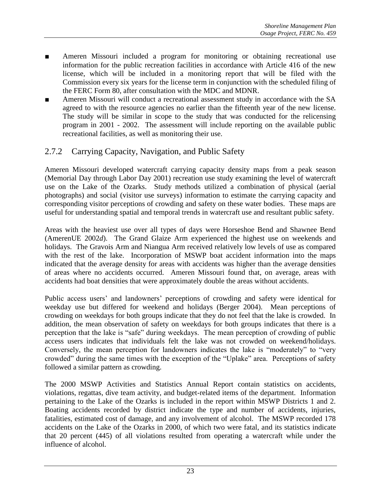- Ameren Missouri included a program for monitoring or obtaining recreational use information for the public recreation facilities in accordance with Article 416 of the new license, which will be included in a monitoring report that will be filed with the Commission every six years for the license term in conjunction with the scheduled filing of the FERC Form 80, after consultation with the MDC and MDNR.
- Ameren Missouri will conduct a recreational assessment study in accordance with the SA agreed to with the resource agencies no earlier than the fifteenth year of the new license. The study will be similar in scope to the study that was conducted for the relicensing program in 2001 - 2002. The assessment will include reporting on the available public recreational facilities, as well as monitoring their use.

# 2.7.2 Carrying Capacity, Navigation, and Public Safety

Ameren Missouri developed watercraft carrying capacity density maps from a peak season (Memorial Day through Labor Day 2001) recreation use study examining the level of watercraft use on the Lake of the Ozarks. Study methods utilized a combination of physical (aerial photographs) and social (visitor use surveys) information to estimate the carrying capacity and corresponding visitor perceptions of crowding and safety on these water bodies. These maps are useful for understanding spatial and temporal trends in watercraft use and resultant public safety.

Areas with the heaviest use over all types of days were Horseshoe Bend and Shawnee Bend (AmerenUE 2002*d*). The Grand Glaize Arm experienced the highest use on weekends and holidays. The Gravois Arm and Niangua Arm received relatively low levels of use as compared with the rest of the lake. Incorporation of MSWP boat accident information into the maps indicated that the average density for areas with accidents was higher than the average densities of areas where no accidents occurred. Ameren Missouri found that, on average, areas with accidents had boat densities that were approximately double the areas without accidents.

Public access users' and landowners' perceptions of crowding and safety were identical for weekday use but differed for weekend and holidays (Berger 2004). Mean perceptions of crowding on weekdays for both groups indicate that they do not feel that the lake is crowded. In addition, the mean observation of safety on weekdays for both groups indicates that there is a perception that the lake is "safe" during weekdays. The mean perception of crowding of public access users indicates that individuals felt the lake was not crowded on weekend/holidays. Conversely, the mean perception for landowners indicates the lake is "moderately" to "very crowded" during the same times with the exception of the "Uplake" area. Perceptions of safety followed a similar pattern as crowding.

The 2000 MSWP Activities and Statistics Annual Report contain statistics on accidents, violations, regattas, dive team activity, and budget-related items of the department. Information pertaining to the Lake of the Ozarks is included in the report within MSWP Districts 1 and 2. Boating accidents recorded by district indicate the type and number of accidents, injuries, fatalities, estimated cost of damage, and any involvement of alcohol. The MSWP recorded 178 accidents on the Lake of the Ozarks in 2000, of which two were fatal, and its statistics indicate that 20 percent (445) of all violations resulted from operating a watercraft while under the influence of alcohol.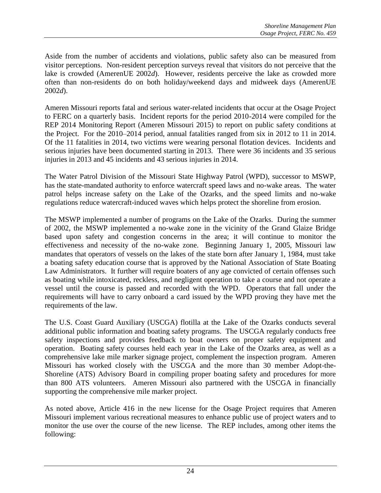Aside from the number of accidents and violations, public safety also can be measured from visitor perceptions. Non-resident perception surveys reveal that visitors do not perceive that the lake is crowded (AmerenUE 2002*d*). However, residents perceive the lake as crowded more often than non-residents do on both holiday/weekend days and midweek days (AmerenUE 2002*d*).

Ameren Missouri reports fatal and serious water-related incidents that occur at the Osage Project to FERC on a quarterly basis. Incident reports for the period 2010-2014 were compiled for the REP 2014 Monitoring Report (Ameren Missouri 2015) to report on public safety conditions at the Project. For the 2010–2014 period, annual fatalities ranged from six in 2012 to 11 in 2014. Of the 11 fatalities in 2014, two victims were wearing personal flotation devices. Incidents and serious injuries have been documented starting in 2013. There were 36 incidents and 35 serious injuries in 2013 and 45 incidents and 43 serious injuries in 2014.

The Water Patrol Division of the Missouri State Highway Patrol (WPD), successor to MSWP, has the state-mandated authority to enforce watercraft speed laws and no-wake areas. The water patrol helps increase safety on the Lake of the Ozarks, and the speed limits and no-wake regulations reduce watercraft-induced waves which helps protect the shoreline from erosion.

The MSWP implemented a number of programs on the Lake of the Ozarks. During the summer of 2002, the MSWP implemented a no-wake zone in the vicinity of the Grand Glaize Bridge based upon safety and congestion concerns in the area; it will continue to monitor the effectiveness and necessity of the no-wake zone. Beginning January 1, 2005, Missouri law mandates that operators of vessels on the lakes of the state born after January 1, 1984, must take a boating safety education course that is approved by the National Association of State Boating Law Administrators. It further will require boaters of any age convicted of certain offenses such as boating while intoxicated, reckless, and negligent operation to take a course and not operate a vessel until the course is passed and recorded with the WPD. Operators that fall under the requirements will have to carry onboard a card issued by the WPD proving they have met the requirements of the law.

The U.S. Coast Guard Auxiliary (USCGA) flotilla at the Lake of the Ozarks conducts several additional public information and boating safety programs. The USCGA regularly conducts free safety inspections and provides feedback to boat owners on proper safety equipment and operation. Boating safety courses held each year in the Lake of the Ozarks area, as well as a comprehensive lake mile marker signage project, complement the inspection program. Ameren Missouri has worked closely with the USCGA and the more than 30 member Adopt-the-Shoreline (ATS) Advisory Board in compiling proper boating safety and procedures for more than 800 ATS volunteers. Ameren Missouri also partnered with the USCGA in financially supporting the comprehensive mile marker project.

As noted above, Article 416 in the new license for the Osage Project requires that Ameren Missouri implement various recreational measures to enhance public use of project waters and to monitor the use over the course of the new license. The REP includes, among other items the following: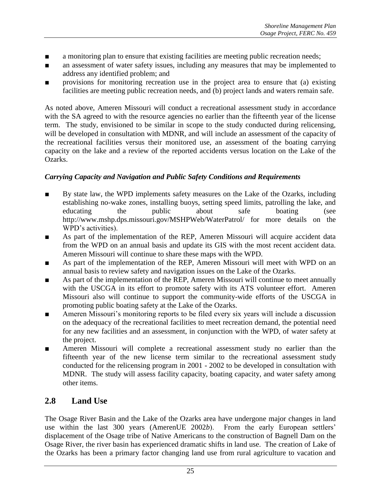- a monitoring plan to ensure that existing facilities are meeting public recreation needs;
- an assessment of water safety issues, including any measures that may be implemented to address any identified problem; and
- provisions for monitoring recreation use in the project area to ensure that (a) existing facilities are meeting public recreation needs, and (b) project lands and waters remain safe.

As noted above, Ameren Missouri will conduct a recreational assessment study in accordance with the SA agreed to with the resource agencies no earlier than the fifteenth year of the license term. The study, envisioned to be similar in scope to the study conducted during relicensing, will be developed in consultation with MDNR, and will include an assessment of the capacity of the recreational facilities versus their monitored use, an assessment of the boating carrying capacity on the lake and a review of the reported accidents versus location on the Lake of the Ozarks.

#### *Carrying Capacity and Navigation and Public Safety Conditions and Requirements*

- By state law, the WPD implements safety measures on the Lake of the Ozarks, including establishing no-wake zones, installing buoys, setting speed limits, patrolling the lake, and educating the public about safe boating (see http://www.mshp.dps.missouri.gov/MSHPWeb/WaterPatrol/ for more details on the WPD's activities).
- As part of the implementation of the REP, Ameren Missouri will acquire accident data from the WPD on an annual basis and update its GIS with the most recent accident data. Ameren Missouri will continue to share these maps with the WPD.
- As part of the implementation of the REP, Ameren Missouri will meet with WPD on an annual basis to review safety and navigation issues on the Lake of the Ozarks.
- As part of the implementation of the REP, Ameren Missouri will continue to meet annually with the USCGA in its effort to promote safety with its ATS volunteer effort. Ameren Missouri also will continue to support the community-wide efforts of the USCGA in promoting public boating safety at the Lake of the Ozarks.
- Ameren Missouri's monitoring reports to be filed every six years will include a discussion on the adequacy of the recreational facilities to meet recreation demand, the potential need for any new facilities and an assessment, in conjunction with the WPD, of water safety at the project.
- Ameren Missouri will complete a recreational assessment study no earlier than the fifteenth year of the new license term similar to the recreational assessment study conducted for the relicensing program in 2001 - 2002 to be developed in consultation with MDNR. The study will assess facility capacity, boating capacity, and water safety among other items.

# **2.8 Land Use**

The Osage River Basin and the Lake of the Ozarks area have undergone major changes in land use within the last 300 years (AmerenUE 2002*b*). From the early European settlers' displacement of the Osage tribe of Native Americans to the construction of Bagnell Dam on the Osage River, the river basin has experienced dramatic shifts in land use. The creation of Lake of the Ozarks has been a primary factor changing land use from rural agriculture to vacation and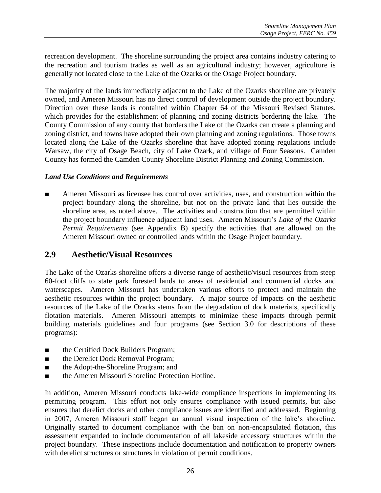recreation development. The shoreline surrounding the project area contains industry catering to the recreation and tourism trades as well as an agricultural industry; however, agriculture is generally not located close to the Lake of the Ozarks or the Osage Project boundary.

The majority of the lands immediately adjacent to the Lake of the Ozarks shoreline are privately owned, and Ameren Missouri has no direct control of development outside the project boundary. Direction over these lands is contained within Chapter 64 of the Missouri Revised Statutes, which provides for the establishment of planning and zoning districts bordering the lake. The County Commission of any county that borders the Lake of the Ozarks can create a planning and zoning district, and towns have adopted their own planning and zoning regulations. Those towns located along the Lake of the Ozarks shoreline that have adopted zoning regulations include Warsaw, the city of Osage Beach, city of Lake Ozark, and village of Four Seasons. Camden County has formed the Camden County Shoreline District Planning and Zoning Commission.

#### *Land Use Conditions and Requirements*

Ameren Missouri as licensee has control over activities, uses, and construction within the project boundary along the shoreline, but not on the private land that lies outside the shoreline area, as noted above. The activities and construction that are permitted within the project boundary influence adjacent land uses. Ameren Missouri's *Lake of the Ozarks Permit Requirements* (see Appendix B) specify the activities that are allowed on the Ameren Missouri owned or controlled lands within the Osage Project boundary.

#### **2.9 Aesthetic/Visual Resources**

The Lake of the Ozarks shoreline offers a diverse range of aesthetic/visual resources from steep 60-foot cliffs to state park forested lands to areas of residential and commercial docks and waterscapes. Ameren Missouri has undertaken various efforts to protect and maintain the aesthetic resources within the project boundary. A major source of impacts on the aesthetic resources of the Lake of the Ozarks stems from the degradation of dock materials, specifically flotation materials. Ameren Missouri attempts to minimize these impacts through permit building materials guidelines and four programs (see Section 3.0 for descriptions of these programs):

- the Certified Dock Builders Program;
- the Derelict Dock Removal Program;
- the Adopt-the-Shoreline Program; and
- the Ameren Missouri Shoreline Protection Hotline.

In addition, Ameren Missouri conducts lake-wide compliance inspections in implementing its permitting program. This effort not only ensures compliance with issued permits, but also ensures that derelict docks and other compliance issues are identified and addressed. Beginning in 2007, Ameren Missouri staff began an annual visual inspection of the lake's shoreline. Originally started to document compliance with the ban on non-encapsulated flotation, this assessment expanded to include documentation of all lakeside accessory structures within the project boundary. These inspections include documentation and notification to property owners with derelict structures or structures in violation of permit conditions.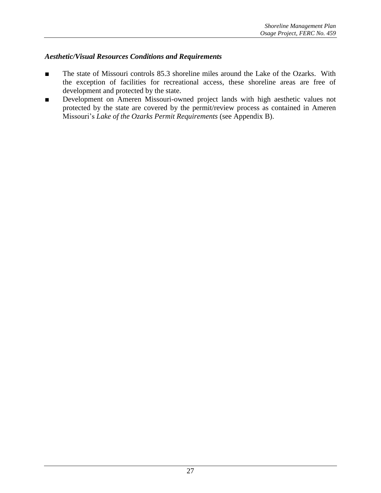#### *Aesthetic/Visual Resources Conditions and Requirements*

- The state of Missouri controls 85.3 shoreline miles around the Lake of the Ozarks. With the exception of facilities for recreational access, these shoreline areas are free of development and protected by the state.
- Development on Ameren Missouri-owned project lands with high aesthetic values not protected by the state are covered by the permit/review process as contained in Ameren Missouri's *Lake of the Ozarks Permit Requirements* (see Appendix B).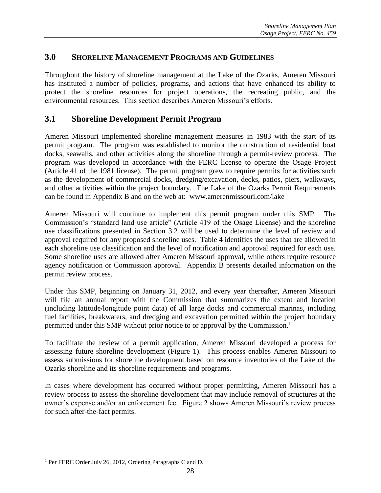#### **3.0 SHORELINE MANAGEMENT PROGRAMS AND GUIDELINES**

Throughout the history of shoreline management at the Lake of the Ozarks, Ameren Missouri has instituted a number of policies, programs, and actions that have enhanced its ability to protect the shoreline resources for project operations, the recreating public, and the environmental resources. This section describes Ameren Missouri's efforts.

#### **3.1 Shoreline Development Permit Program**

Ameren Missouri implemented shoreline management measures in 1983 with the start of its permit program. The program was established to monitor the construction of residential boat docks, seawalls, and other activities along the shoreline through a permit-review process. The program was developed in accordance with the FERC license to operate the Osage Project (Article 41 of the 1981 license). The permit program grew to require permits for activities such as the development of commercial docks, dredging/excavation, decks, patios, piers, walkways, and other activities within the project boundary. The Lake of the Ozarks Permit Requirements can be found in Appendix B and on the web at: www.amerenmissouri.com/lake

Ameren Missouri will continue to implement this permit program under this SMP. The Commission's "standard land use article" (Article 419 of the Osage License) and the shoreline use classifications presented in Section 3.2 will be used to determine the level of review and approval required for any proposed shoreline uses. Table 4 identifies the uses that are allowed in each shoreline use classification and the level of notification and approval required for each use. Some shoreline uses are allowed after Ameren Missouri approval, while others require resource agency notification or Commission approval. Appendix B presents detailed information on the permit review process.

Under this SMP, beginning on January 31, 2012, and every year thereafter, Ameren Missouri will file an annual report with the Commission that summarizes the extent and location (including latitude/longitude point data) of all large docks and commercial marinas, including fuel facilities, breakwaters, and dredging and excavation permitted within the project boundary permitted under this SMP without prior notice to or approval by the Commission.<sup>1</sup>

To facilitate the review of a permit application, Ameren Missouri developed a process for assessing future shoreline development (Figure 1). This process enables Ameren Missouri to assess submissions for shoreline development based on resource inventories of the Lake of the Ozarks shoreline and its shoreline requirements and programs.

In cases where development has occurred without proper permitting, Ameren Missouri has a review process to assess the shoreline development that may include removal of structures at the owner's expense and/or an enforcement fee. Figure 2 shows Ameren Missouri's review process for such after-the-fact permits.

 $\overline{a}$ <sup>1</sup> Per FERC Order July 26, 2012, Ordering Paragraphs C and D.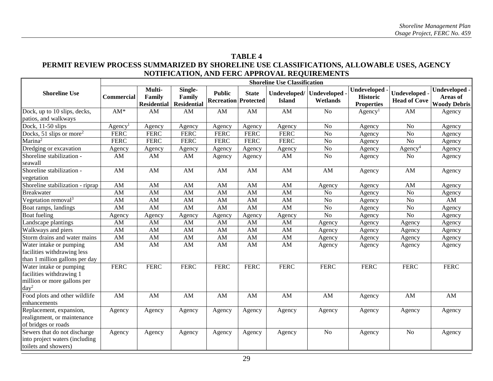#### **TABLE 4 PERMIT REVIEW PROCESS SUMMARIZED BY SHORELINE USE CLASSIFICATIONS, ALLOWABLE USES, AGENCY NOTIFICATION, AND FERC APPROVAL REQUIREMENTS**

|                                                                                               | <b>Shoreline Use Classification</b> |                                        |                                         |                                              |                        |               |                                      |                                                            |                                           |                                                  |
|-----------------------------------------------------------------------------------------------|-------------------------------------|----------------------------------------|-----------------------------------------|----------------------------------------------|------------------------|---------------|--------------------------------------|------------------------------------------------------------|-------------------------------------------|--------------------------------------------------|
| <b>Shoreline Use</b>                                                                          | <b>Commercial</b>                   | Multi-<br>Family<br><b>Residential</b> | Single-<br>Family<br><b>Residential</b> | <b>Public</b><br><b>Recreation Protected</b> | <b>State</b>           | <b>Island</b> | Undeveloped/ Undeveloped<br>Wetlands | <b>Undeveloped</b><br><b>Historic</b><br><b>Properties</b> | <b>Undeveloped</b><br><b>Head of Cove</b> | Undeveloped -<br>Areas of<br><b>Woody Debris</b> |
| Dock, up to 10 slips, decks,                                                                  | $AM*$                               | AM                                     | AM                                      | AM                                           | AM                     | AM            | N <sub>o</sub>                       | Agency <sup>1</sup>                                        | AM                                        | Agency                                           |
| patios, and walkways                                                                          |                                     |                                        |                                         |                                              |                        |               |                                      |                                                            |                                           |                                                  |
| Dock, $11-50$ slips                                                                           | Agency <sup>1</sup>                 | Agency                                 | Agency                                  | Agency                                       | Agency                 | Agency        | N <sub>o</sub>                       | Agency                                                     | N <sub>o</sub>                            | Agency                                           |
| Docks, 51 slips or more <sup>2</sup>                                                          | <b>FERC</b>                         | <b>FERC</b>                            | <b>FERC</b>                             | <b>FERC</b>                                  | <b>FERC</b>            | <b>FERC</b>   | No                                   | Agency                                                     | N <sub>o</sub>                            | Agency                                           |
| Marina <sup>2</sup>                                                                           | <b>FERC</b>                         | <b>FERC</b>                            | <b>FERC</b>                             | <b>FERC</b>                                  | <b>FERC</b>            | <b>FERC</b>   | N <sub>o</sub>                       | Agency                                                     | N <sub>o</sub>                            | Agency                                           |
| Dredging or excavation                                                                        | Agency                              | Agency                                 | Agency                                  | Agency                                       | Agency                 | Agency        | $\rm No$                             | Agency                                                     | Agency <sup>4</sup>                       | Agency                                           |
| Shoreline stabilization -<br>seawall                                                          | AM                                  | AM                                     | AM                                      | Agency                                       | Agency                 | AM            | No                                   | Agency                                                     | No                                        | Agency                                           |
| Shoreline stabilization -<br>vegetation                                                       | AM                                  | AM                                     | $\mathbf{A}\mathbf{M}$                  | $\mathbf{A}\mathbf{M}$                       | $\mathbf{A}\mathbf{M}$ | AM            | AM                                   | Agency                                                     | AM                                        | Agency                                           |
| Shoreline stabilization - riprap                                                              | AM                                  | AM                                     | AM                                      | AM                                           | AM                     | AM            | Agency                               | Agency                                                     | AM                                        | Agency                                           |
| Breakwater                                                                                    | AM                                  | AM                                     | AM                                      | AM                                           | AM                     | AM            | N <sub>o</sub>                       | Agency                                                     | N <sub>o</sub>                            | Agency                                           |
| Vegetation removal $3$                                                                        | AM                                  | AM                                     | AM                                      | AM                                           | AM                     | AM            | N <sub>o</sub>                       | Agency                                                     | N <sub>o</sub>                            | AM                                               |
| Boat ramps, landings                                                                          | AM                                  | AM                                     | AM                                      | AM                                           | AM                     | AM            | No                                   | Agency                                                     | No                                        | Agency                                           |
| <b>Boat</b> fueling                                                                           | Agency                              | Agency                                 | Agency                                  | Agency                                       | Agency                 | Agency        | No                                   | Agency                                                     | N <sub>o</sub>                            | Agency                                           |
| Landscape plantings                                                                           | AM                                  | AM                                     | AM                                      | $\mathbf{A}\mathbf{M}$                       | AM                     | AM            | Agency                               | Agency                                                     | Agency                                    | Agency                                           |
| Walkways and piers                                                                            | AM                                  | AM                                     | AM                                      | AM                                           | AM                     | AM            | Agency                               | Agency                                                     | Agency                                    | Agency                                           |
| Storm drains and water mains                                                                  | AM                                  | AM                                     | AM                                      | AM                                           | AM                     | AM            | Agency                               | Agency                                                     | Agency                                    | Agency                                           |
| Water intake or pumping<br>facilities withdrawing less<br>than 1 million gallons per day      | AM                                  | AM                                     | AM                                      | $\mathbf{A}\mathbf{M}$                       | AM                     | AM            | Agency                               | Agency                                                     | Agency                                    | Agency                                           |
| Water intake or pumping<br>facilities withdrawing 1<br>million or more gallons per<br>$day^2$ | <b>FERC</b>                         | <b>FERC</b>                            | <b>FERC</b>                             | <b>FERC</b>                                  | <b>FERC</b>            | <b>FERC</b>   | <b>FERC</b>                          | <b>FERC</b>                                                | <b>FERC</b>                               | <b>FERC</b>                                      |
| Food plots and other wildlife<br>enhancements                                                 | AM                                  | AM                                     | AM                                      | AM                                           | AM                     | AM            | AM                                   | Agency                                                     | AM                                        | AM                                               |
| Replacement, expansion,<br>realignment, or maintenance<br>of bridges or roads                 | Agency                              | Agency                                 | Agency                                  | Agency                                       | Agency                 | Agency        | Agency                               | Agency                                                     | Agency                                    | Agency                                           |
| Sewers that do not discharge<br>into project waters (including)<br>toilets and showers)       | Agency                              | Agency                                 | Agency                                  | Agency                                       | Agency                 | Agency        | N <sub>o</sub>                       | Agency                                                     | N <sub>o</sub>                            | Agency                                           |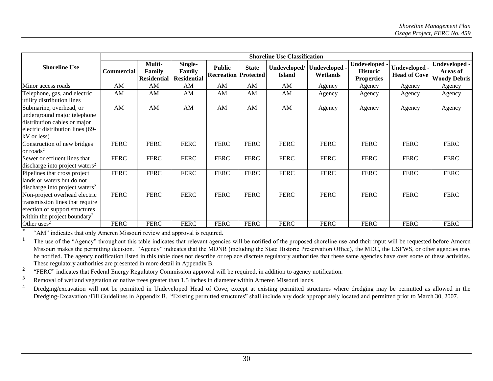|                                                                                                                                                | <b>Shoreline Use Classification</b> |                                        |                                         |                                              |              |                               |                           |                                                       |                                             |                                                  |
|------------------------------------------------------------------------------------------------------------------------------------------------|-------------------------------------|----------------------------------------|-----------------------------------------|----------------------------------------------|--------------|-------------------------------|---------------------------|-------------------------------------------------------|---------------------------------------------|--------------------------------------------------|
| <b>Shoreline Use</b>                                                                                                                           | <b>Commercial</b>                   | Multi-<br>Family<br><b>Residential</b> | Single-<br>Family<br><b>Residential</b> | <b>Public</b><br><b>Recreation Protected</b> | <b>State</b> | Undeveloped/<br><b>Island</b> | Undeveloped .<br>Wetlands | Undeveloped -<br><b>Historic</b><br><b>Properties</b> | <b>Undeveloped -</b><br><b>Head of Cove</b> | Undeveloped -<br>Areas of<br><b>Woody Debris</b> |
| Minor access roads                                                                                                                             | AM                                  | AM                                     | AM                                      | AM                                           | AM           | AM                            | Agency                    | Agency                                                | Agency                                      | Agency                                           |
| Telephone, gas, and electric<br>utility distribution lines                                                                                     | AM                                  | AM                                     | AM                                      | AM                                           | AM           | AM                            | Agency                    | Agency                                                | Agency                                      | Agency                                           |
| Submarine, overhead, or<br>underground major telephone<br>distribution cables or major<br>electric distribution lines (69-<br>kV or less)      | AM                                  | AM                                     | AM                                      | AM                                           | AM           | AM                            | Agency                    | Agency                                                | Agency                                      | Agency                                           |
| Construction of new bridges<br>or roads <sup>2</sup>                                                                                           | <b>FERC</b>                         | <b>FERC</b>                            | <b>FERC</b>                             | <b>FERC</b>                                  | <b>FERC</b>  | <b>FERC</b>                   | <b>FERC</b>               | <b>FERC</b>                                           | <b>FERC</b>                                 | <b>FERC</b>                                      |
| Sewer or effluent lines that<br>discharge into project waters <sup>2</sup>                                                                     | <b>FERC</b>                         | <b>FERC</b>                            | <b>FERC</b>                             | <b>FERC</b>                                  | <b>FERC</b>  | <b>FERC</b>                   | <b>FERC</b>               | <b>FERC</b>                                           | <b>FERC</b>                                 | <b>FERC</b>                                      |
| Pipelines that cross project<br>lands or waters but do not<br>discharge into project waters <sup>2</sup>                                       | <b>FERC</b>                         | <b>FERC</b>                            | <b>FERC</b>                             | <b>FERC</b>                                  | <b>FERC</b>  | <b>FERC</b>                   | <b>FERC</b>               | <b>FERC</b>                                           | <b>FERC</b>                                 | <b>FERC</b>                                      |
| Non-project overhead electric<br>transmission lines that require<br>erection of support structures<br>within the project boundary <sup>2</sup> | <b>FERC</b>                         | <b>FERC</b>                            | <b>FERC</b>                             | <b>FERC</b>                                  | <b>FERC</b>  | <b>FERC</b>                   | <b>FERC</b>               | <b>FERC</b>                                           | <b>FERC</b>                                 | <b>FERC</b>                                      |
|                                                                                                                                                | <b>FERC</b>                         | <b>FERC</b>                            | <b>FERC</b>                             | <b>FERC</b>                                  | <b>FERC</b>  | <b>FERC</b>                   | <b>FERC</b>               | <b>FERC</b>                                           | <b>FERC</b>                                 | <b>FERC</b>                                      |
| Other uses <sup>2</sup><br>$H_{\alpha}^{\alpha}$ (AM <sup>2)</sup> indicates that only Ameron Missouri review and approval is required         |                                     |                                        |                                         |                                              |              |                               |                           |                                                       |                                             |                                                  |

"AM" indicates that only Ameren Missouri review and approval is required.

<sup>1</sup> The use of the "Agency" throughout this table indicates that relevant agencies will be notified of the proposed shoreline use and their input will be requested before Ameren Missouri makes the permitting decision. "Agency" indicates that the MDNR (including the State Historic Preservation Office), the MDC, the USFWS, or other agencies may be notified. The agency notification listed in this table does not describe or replace discrete regulatory authorities that these same agencies have over some of these activities. These regulatory authorities are presented in more detail in Appendix B.

2 "FERC" indicates that Federal Energy Regulatory Commission approval will be required, in addition to agency notification.

<sup>3</sup> Removal of wetland vegetation or native trees greater than 1.5 inches in diameter within Ameren Missouri lands.

<sup>4</sup> Dredging/excavation will not be permitted in Undeveloped Head of Cove, except at existing permitted structures where dredging may be permitted as allowed in the Dredging-Excavation /Fill Guidelines in Appendix B. "Existing permitted structures" shall include any dock appropriately located and permitted prior to March 30, 2007.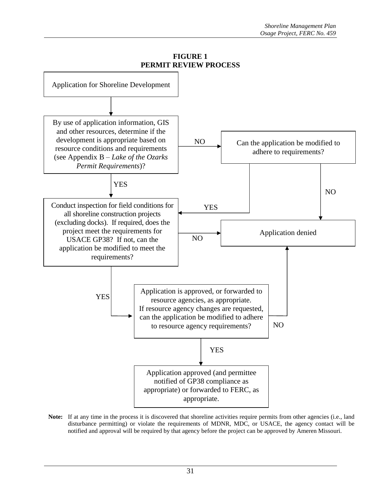

**FIGURE 1**

Note: If at any time in the process it is discovered that shoreline activities require permits from other agencies (i.e., land disturbance permitting) or violate the requirements of MDNR, MDC, or USACE, the agency contact will be notified and approval will be required by that agency before the project can be approved by Ameren Missouri.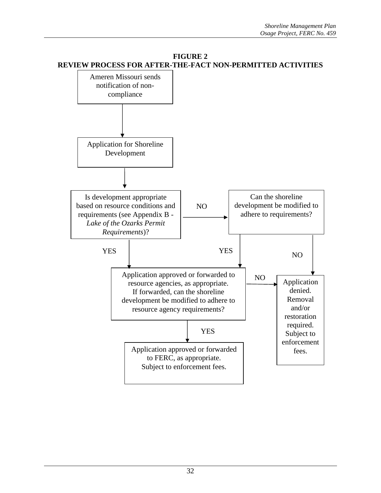

#### **FIGURE 2 REVIEW PROCESS FOR AFTER-THE-FACT NON-PERMITTED ACTIVITIES**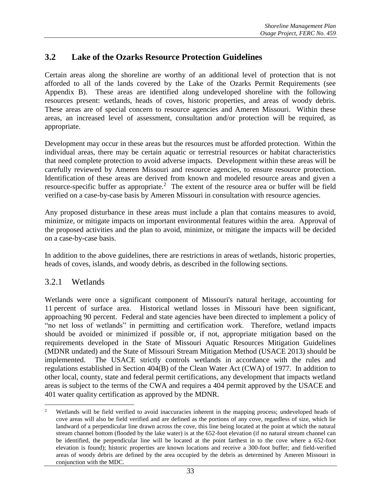### **3.2 Lake of the Ozarks Resource Protection Guidelines**

Certain areas along the shoreline are worthy of an additional level of protection that is not afforded to all of the lands covered by the Lake of the Ozarks Permit Requirements (see Appendix B). These areas are identified along undeveloped shoreline with the following resources present: wetlands, heads of coves, historic properties, and areas of woody debris. These areas are of special concern to resource agencies and Ameren Missouri. Within these areas, an increased level of assessment, consultation and/or protection will be required, as appropriate.

Development may occur in these areas but the resources must be afforded protection. Within the individual areas, there may be certain aquatic or terrestrial resources or habitat characteristics that need complete protection to avoid adverse impacts. Development within these areas will be carefully reviewed by Ameren Missouri and resource agencies, to ensure resource protection. Identification of these areas are derived from known and modeled resource areas and given a resource-specific buffer as appropriate.<sup>2</sup> The extent of the resource area or buffer will be field verified on a case-by-case basis by Ameren Missouri in consultation with resource agencies.

Any proposed disturbance in these areas must include a plan that contains measures to avoid, minimize, or mitigate impacts on important environmental features within the area. Approval of the proposed activities and the plan to avoid, minimize, or mitigate the impacts will be decided on a case-by-case basis.

In addition to the above guidelines, there are restrictions in areas of wetlands, historic properties, heads of coves, islands, and woody debris, as described in the following sections.

### 3.2.1 Wetlands

Wetlands were once a significant component of Missouri's natural heritage, accounting for 11 percent of surface area. Historical wetland losses in Missouri have been significant, approaching 90 percent. Federal and state agencies have been directed to implement a policy of "no net loss of wetlands" in permitting and certification work. Therefore, wetland impacts should be avoided or minimized if possible or, if not, appropriate mitigation based on the requirements developed in the State of Missouri Aquatic Resources Mitigation Guidelines (MDNR undated) and the State of Missouri Stream Mitigation Method (USACE 2013) should be implemented. The USACE strictly controls wetlands in accordance with the rules and regulations established in Section 404(B) of the Clean Water Act (CWA) of 1977. In addition to other local, county, state and federal permit certifications, any development that impacts wetland areas is subject to the terms of the CWA and requires a 404 permit approved by the USACE and 401 water quality certification as approved by the MDNR.

 $\overline{c}$ <sup>2</sup> Wetlands will be field verified to avoid inaccuracies inherent in the mapping process; undeveloped heads of cove areas will also be field verified and are defined as the portions of any cove, regardless of size, which lie landward of a perpendicular line drawn across the cove, this line being located at the point at which the natural stream channel bottom (flooded by the lake water) is at the 652-foot elevation (if no natural stream channel can be identified, the perpendicular line will be located at the point farthest in to the cove where a 652-foot elevation is found); historic properties are known locations and receive a 300-foot buffer; and field-verified areas of woody debris are defined by the area occupied by the debris as determined by Ameren Missouri in conjunction with the MDC.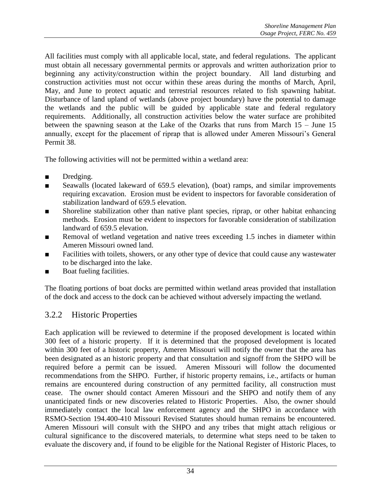All facilities must comply with all applicable local, state, and federal regulations. The applicant must obtain all necessary governmental permits or approvals and written authorization prior to beginning any activity/construction within the project boundary. All land disturbing and construction activities must not occur within these areas during the months of March, April, May, and June to protect aquatic and terrestrial resources related to fish spawning habitat. Disturbance of land upland of wetlands (above project boundary) have the potential to damage the wetlands and the public will be guided by applicable state and federal regulatory requirements. Additionally, all construction activities below the water surface are prohibited between the spawning season at the Lake of the Ozarks that runs from March 15 – June 15 annually, except for the placement of riprap that is allowed under Ameren Missouri's General Permit 38.

The following activities will not be permitted within a wetland area:

- Dredging.
- Seawalls (located lakeward of 659.5 elevation), (boat) ramps, and similar improvements requiring excavation. Erosion must be evident to inspectors for favorable consideration of stabilization landward of 659.5 elevation.
- Shoreline stabilization other than native plant species, riprap, or other habitat enhancing methods. Erosion must be evident to inspectors for favorable consideration of stabilization landward of 659.5 elevation.
- Removal of wetland vegetation and native trees exceeding 1.5 inches in diameter within Ameren Missouri owned land.
- Facilities with toilets, showers, or any other type of device that could cause any wastewater to be discharged into the lake.
- Boat fueling facilities.

The floating portions of boat docks are permitted within wetland areas provided that installation of the dock and access to the dock can be achieved without adversely impacting the wetland.

# 3.2.2 Historic Properties

Each application will be reviewed to determine if the proposed development is located within 300 feet of a historic property. If it is determined that the proposed development is located within 300 feet of a historic property, Ameren Missouri will notify the owner that the area has been designated as an historic property and that consultation and signoff from the SHPO will be required before a permit can be issued. Ameren Missouri will follow the documented recommendations from the SHPO. Further, if historic property remains, i.e., artifacts or human remains are encountered during construction of any permitted facility, all construction must cease. The owner should contact Ameren Missouri and the SHPO and notify them of any unanticipated finds or new discoveries related to Historic Properties. Also, the owner should immediately contact the local law enforcement agency and the SHPO in accordance with RSMO-Section 194.400-410 Missouri Revised Statutes should human remains be encountered. Ameren Missouri will consult with the SHPO and any tribes that might attach religious or cultural significance to the discovered materials, to determine what steps need to be taken to evaluate the discovery and, if found to be eligible for the National Register of Historic Places, to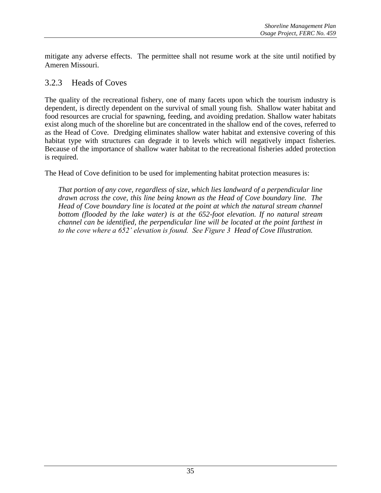mitigate any adverse effects. The permittee shall not resume work at the site until notified by Ameren Missouri.

#### 3.2.3 Heads of Coves

The quality of the recreational fishery, one of many facets upon which the tourism industry is dependent, is directly dependent on the survival of small young fish. Shallow water habitat and food resources are crucial for spawning, feeding, and avoiding predation. Shallow water habitats exist along much of the shoreline but are concentrated in the shallow end of the coves, referred to as the Head of Cove. Dredging eliminates shallow water habitat and extensive covering of this habitat type with structures can degrade it to levels which will negatively impact fisheries. Because of the importance of shallow water habitat to the recreational fisheries added protection is required.

The Head of Cove definition to be used for implementing habitat protection measures is:

*That portion of any cove, regardless of size, which lies landward of a perpendicular line drawn across the cove, this line being known as the Head of Cove boundary line. The Head of Cove boundary line is located at the point at which the natural stream channel bottom (flooded by the lake water) is at the 652-foot elevation. If no natural stream channel can be identified, the perpendicular line will be located at the point farthest in to the cove where a 652' elevation is found. See Figure 3 Head of Cove Illustration.*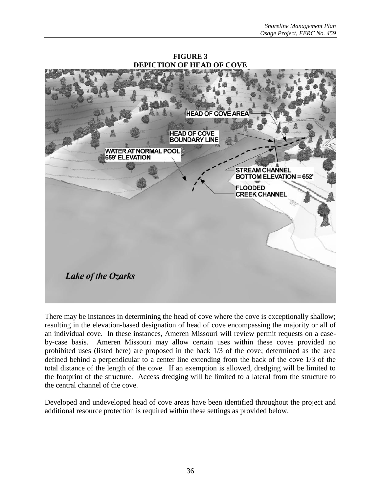

**FIGURE 3 DEPICTION OF HEAD OF COVE**

There may be instances in determining the head of cove where the cove is exceptionally shallow; resulting in the elevation-based designation of head of cove encompassing the majority or all of an individual cove. In these instances, Ameren Missouri will review permit requests on a caseby-case basis. Ameren Missouri may allow certain uses within these coves provided no prohibited uses (listed here) are proposed in the back 1/3 of the cove; determined as the area defined behind a perpendicular to a center line extending from the back of the cove 1/3 of the total distance of the length of the cove. If an exemption is allowed, dredging will be limited to the footprint of the structure. Access dredging will be limited to a lateral from the structure to the central channel of the cove.

Developed and undeveloped head of cove areas have been identified throughout the project and additional resource protection is required within these settings as provided below.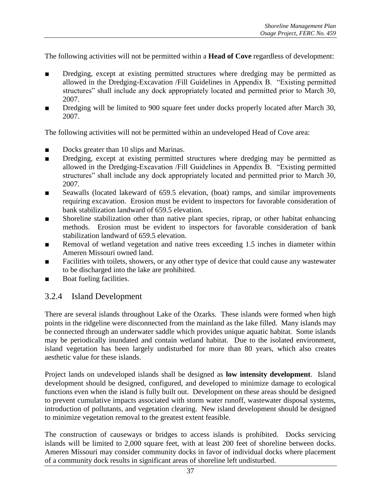The following activities will not be permitted within a **Head of Cove** regardless of development:

- Dredging, except at existing permitted structures where dredging may be permitted as allowed in the Dredging-Excavation /Fill Guidelines in Appendix B. "Existing permitted structures" shall include any dock appropriately located and permitted prior to March 30, 2007.
- Dredging will be limited to 900 square feet under docks properly located after March 30, 2007.

The following activities will not be permitted within an undeveloped Head of Cove area:

- Docks greater than 10 slips and Marinas.
- Dredging, except at existing permitted structures where dredging may be permitted as allowed in the Dredging-Excavation /Fill Guidelines in Appendix B. "Existing permitted structures" shall include any dock appropriately located and permitted prior to March 30, 2007.
- Seawalls (located lakeward of 659.5 elevation, (boat) ramps, and similar improvements requiring excavation. Erosion must be evident to inspectors for favorable consideration of bank stabilization landward of 659.5 elevation.
- Shoreline stabilization other than native plant species, riprap, or other habitat enhancing methods. Erosion must be evident to inspectors for favorable consideration of bank stabilization landward of 659.5 elevation.
- Removal of wetland vegetation and native trees exceeding 1.5 inches in diameter within Ameren Missouri owned land.
- Facilities with toilets, showers, or any other type of device that could cause any wastewater to be discharged into the lake are prohibited.
- Boat fueling facilities.

#### 3.2.4 Island Development

There are several islands throughout Lake of the Ozarks. These islands were formed when high points in the ridgeline were disconnected from the mainland as the lake filled. Many islands may be connected through an underwater saddle which provides unique aquatic habitat. Some islands may be periodically inundated and contain wetland habitat. Due to the isolated environment, island vegetation has been largely undisturbed for more than 80 years, which also creates aesthetic value for these islands.

Project lands on undeveloped islands shall be designed as **low intensity development**. Island development should be designed, configured, and developed to minimize damage to ecological functions even when the island is fully built out. Development on these areas should be designed to prevent cumulative impacts associated with storm water runoff, wastewater disposal systems, introduction of pollutants, and vegetation clearing. New island development should be designed to minimize vegetation removal to the greatest extent feasible.

The construction of causeways or bridges to access islands is prohibited. Docks servicing islands will be limited to 2,000 square feet, with at least 200 feet of shoreline between docks. Ameren Missouri may consider community docks in favor of individual docks where placement of a community dock results in significant areas of shoreline left undisturbed.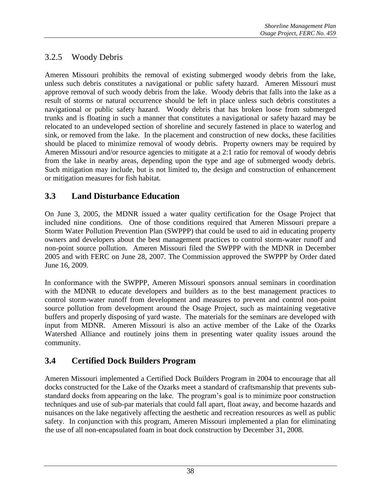# 3.2.5 Woody Debris

Ameren Missouri prohibits the removal of existing submerged woody debris from the lake, unless such debris constitutes a navigational or public safety hazard. Ameren Missouri must approve removal of such woody debris from the lake. Woody debris that falls into the lake as a result of storms or natural occurrence should be left in place unless such debris constitutes a navigational or public safety hazard. Woody debris that has broken loose from submerged trunks and is floating in such a manner that constitutes a navigational or safety hazard may be relocated to an undeveloped section of shoreline and securely fastened in place to waterlog and sink, or removed from the lake. In the placement and construction of new docks, these facilities should be placed to minimize removal of woody debris. Property owners may be required by Ameren Missouri and/or resource agencies to mitigate at a 2:1 ratio for removal of woody debris from the lake in nearby areas, depending upon the type and age of submerged woody debris. Such mitigation may include, but is not limited to, the design and construction of enhancement or mitigation measures for fish habitat.

# **3.3 Land Disturbance Education**

On June 3, 2005, the MDNR issued a water quality certification for the Osage Project that included nine conditions. One of those conditions required that Ameren Missouri prepare a Storm Water Pollution Prevention Plan (SWPPP) that could be used to aid in educating property owners and developers about the best management practices to control storm-water runoff and non-point source pollution. Ameren Missouri filed the SWPPP with the MDNR in December 2005 and with FERC on June 28, 2007. The Commission approved the SWPPP by Order dated June 16, 2009.

In conformance with the SWPPP, Ameren Missouri sponsors annual seminars in coordination with the MDNR to educate developers and builders as to the best management practices to control storm-water runoff from development and measures to prevent and control non-point source pollution from development around the Osage Project, such as maintaining vegetative buffers and properly disposing of yard waste. The materials for the seminars are developed with input from MDNR. Ameren Missouri is also an active member of the Lake of the Ozarks Watershed Alliance and routinely joins them in presenting water quality issues around the community.

# **3.4 Certified Dock Builders Program**

Ameren Missouri implemented a Certified Dock Builders Program in 2004 to encourage that all docks constructed for the Lake of the Ozarks meet a standard of craftsmanship that prevents substandard docks from appearing on the lake. The program's goal is to minimize poor construction techniques and use of sub-par materials that could fall apart, float away, and become hazards and nuisances on the lake negatively affecting the aesthetic and recreation resources as well as public safety. In conjunction with this program, Ameren Missouri implemented a plan for eliminating the use of all non-encapsulated foam in boat dock construction by December 31, 2008.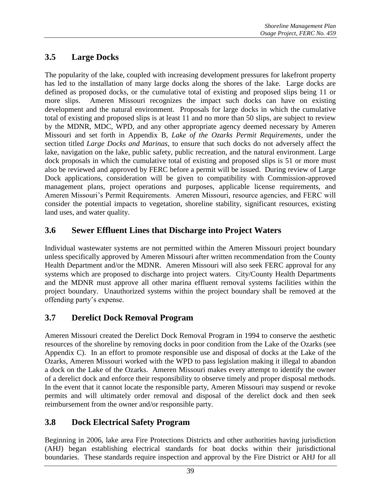# **3.5 Large Docks**

The popularity of the lake, coupled with increasing development pressures for lakefront property has led to the installation of many large docks along the shores of the lake. Large docks are defined as proposed docks, or the cumulative total of existing and proposed slips being 11 or more slips. Ameren Missouri recognizes the impact such docks can have on existing development and the natural environment. Proposals for large docks in which the cumulative total of existing and proposed slips is at least 11 and no more than 50 slips, are subject to review by the MDNR, MDC, WPD, and any other appropriate agency deemed necessary by Ameren Missouri and set forth in Appendix B, *Lake of the Ozarks Permit Requirements*, under the section titled *Large Docks and Marinas*, to ensure that such docks do not adversely affect the lake, navigation on the lake, public safety, public recreation, and the natural environment. Large dock proposals in which the cumulative total of existing and proposed slips is 51 or more must also be reviewed and approved by FERC before a permit will be issued. During review of Large Dock applications, consideration will be given to compatibility with Commission-approved management plans, project operations and purposes, applicable license requirements, and Ameren Missouri's Permit Requirements. Ameren Missouri, resource agencies, and FERC will consider the potential impacts to vegetation, shoreline stability, significant resources, existing land uses, and water quality.

# **3.6 Sewer Effluent Lines that Discharge into Project Waters**

Individual wastewater systems are not permitted within the Ameren Missouri project boundary unless specifically approved by Ameren Missouri after written recommendation from the County Health Department and/or the MDNR. Ameren Missouri will also seek FERC approval for any systems which are proposed to discharge into project waters. City/County Health Departments and the MDNR must approve all other marina effluent removal systems facilities within the project boundary. Unauthorized systems within the project boundary shall be removed at the offending party's expense.

# **3.7 Derelict Dock Removal Program**

Ameren Missouri created the Derelict Dock Removal Program in 1994 to conserve the aesthetic resources of the shoreline by removing docks in poor condition from the Lake of the Ozarks (see Appendix C). In an effort to promote responsible use and disposal of docks at the Lake of the Ozarks, Ameren Missouri worked with the WPD to pass legislation making it illegal to abandon a dock on the Lake of the Ozarks. Ameren Missouri makes every attempt to identify the owner of a derelict dock and enforce their responsibility to observe timely and proper disposal methods. In the event that it cannot locate the responsible party, Ameren Missouri may suspend or revoke permits and will ultimately order removal and disposal of the derelict dock and then seek reimbursement from the owner and/or responsible party.

# **3.8 Dock Electrical Safety Program**

Beginning in 2006, lake area Fire Protections Districts and other authorities having jurisdiction (AHJ) began establishing electrical standards for boat docks within their jurisdictional boundaries. These standards require inspection and approval by the Fire District or AHJ for all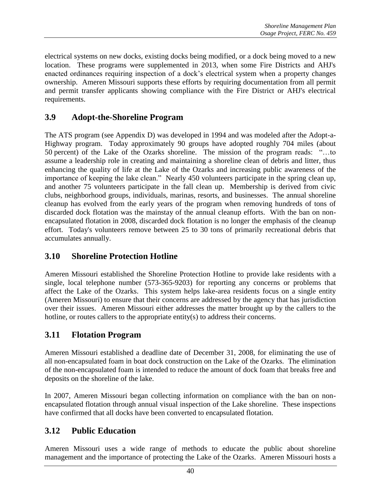electrical systems on new docks, existing docks being modified, or a dock being moved to a new location. These programs were supplemented in 2013, when some Fire Districts and AHJ's enacted ordinances requiring inspection of a dock's electrical system when a property changes ownership. Ameren Missouri supports these efforts by requiring documentation from all permit and permit transfer applicants showing compliance with the Fire District or AHJ's electrical requirements.

### **3.9 Adopt-the-Shoreline Program**

The ATS program (see Appendix D) was developed in 1994 and was modeled after the Adopt-a-Highway program. Today approximately 90 groups have adopted roughly 704 miles (about 50 percent) of the Lake of the Ozarks shoreline. The mission of the program reads: "…to assume a leadership role in creating and maintaining a shoreline clean of debris and litter, thus enhancing the quality of life at the Lake of the Ozarks and increasing public awareness of the importance of keeping the lake clean." Nearly 450 volunteers participate in the spring clean up, and another 75 volunteers participate in the fall clean up. Membership is derived from civic clubs, neighborhood groups, individuals, marinas, resorts, and businesses. The annual shoreline cleanup has evolved from the early years of the program when removing hundreds of tons of discarded dock flotation was the mainstay of the annual cleanup efforts. With the ban on nonencapsulated flotation in 2008, discarded dock flotation is no longer the emphasis of the cleanup effort. Today's volunteers remove between 25 to 30 tons of primarily recreational debris that accumulates annually.

### **3.10 Shoreline Protection Hotline**

Ameren Missouri established the Shoreline Protection Hotline to provide lake residents with a single, local telephone number (573-365-9203) for reporting any concerns or problems that affect the Lake of the Ozarks. This system helps lake-area residents focus on a single entity (Ameren Missouri) to ensure that their concerns are addressed by the agency that has jurisdiction over their issues. Ameren Missouri either addresses the matter brought up by the callers to the hotline, or routes callers to the appropriate entity(s) to address their concerns.

# **3.11 Flotation Program**

Ameren Missouri established a deadline date of December 31, 2008, for eliminating the use of all non-encapsulated foam in boat dock construction on the Lake of the Ozarks. The elimination of the non-encapsulated foam is intended to reduce the amount of dock foam that breaks free and deposits on the shoreline of the lake.

In 2007, Ameren Missouri began collecting information on compliance with the ban on nonencapsulated flotation through annual visual inspection of the Lake shoreline. These inspections have confirmed that all docks have been converted to encapsulated flotation.

### **3.12 Public Education**

Ameren Missouri uses a wide range of methods to educate the public about shoreline management and the importance of protecting the Lake of the Ozarks. Ameren Missouri hosts a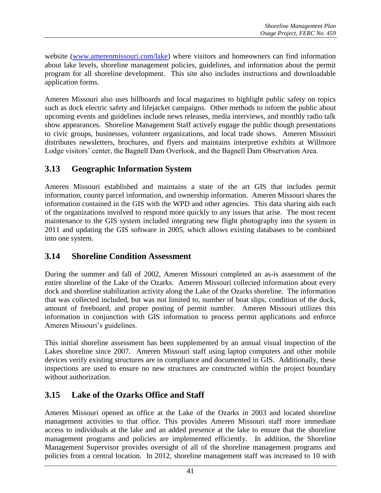website [\(www.amerenmissouri.com/lake\)](http://www.amerenmissouri.com/lake) where visitors and homeowners can find information about lake levels, shoreline management policies, guidelines, and information about the permit program for all shoreline development. This site also includes instructions and downloadable application forms.

Ameren Missouri also uses billboards and local magazines to highlight public safety on topics such as dock electric safety and lifejacket campaigns. Other methods to inform the public about upcoming events and guidelines include news releases, media interviews, and monthly radio talk show appearances. Shoreline Management Staff actively engage the public though presentations to civic groups, businesses, volunteer organizations, and local trade shows. Ameren Missouri distributes newsletters, brochures, and flyers and maintains interpretive exhibits at Willmore Lodge visitors' center, the Bagnell Dam Overlook, and the Bagnell Dam Observation Area.

# **3.13 Geographic Information System**

Ameren Missouri established and maintains a state of the art GIS that includes permit information, county parcel information, and ownership information. Ameren Missouri shares the information contained in the GIS with the WPD and other agencies. This data sharing aids each of the organizations involved to respond more quickly to any issues that arise. The most recent maintenance to the GIS system included integrating new flight photography into the system in 2011 and updating the GIS software in 2005, which allows existing databases to be combined into one system.

### **3.14 Shoreline Condition Assessment**

During the summer and fall of 2002, Ameren Missouri completed an as-is assessment of the entire shoreline of the Lake of the Ozarks. Ameren Missouri collected information about every dock and shoreline stabilization activity along the Lake of the Ozarks shoreline. The information that was collected included, but was not limited to, number of boat slips, condition of the dock, amount of freeboard, and proper posting of permit number. Ameren Missouri utilizes this information in conjunction with GIS information to process permit applications and enforce Ameren Missouri's guidelines.

This initial shoreline assessment has been supplemented by an annual visual inspection of the Lakes shoreline since 2007. Ameren Missouri staff using laptop computers and other mobile devices verify existing structures are in compliance and documented in GIS. Additionally, these inspections are used to ensure no new structures are constructed within the project boundary without authorization.

# **3.15 Lake of the Ozarks Office and Staff**

Ameren Missouri opened an office at the Lake of the Ozarks in 2003 and located shoreline management activities to that office. This provides Ameren Missouri staff more immediate access to individuals at the lake and an added presence at the lake to ensure that the shoreline management programs and policies are implemented efficiently. In addition, the Shoreline Management Supervisor provides oversight of all of the shoreline management programs and policies from a central location. In 2012, shoreline management staff was increased to 10 with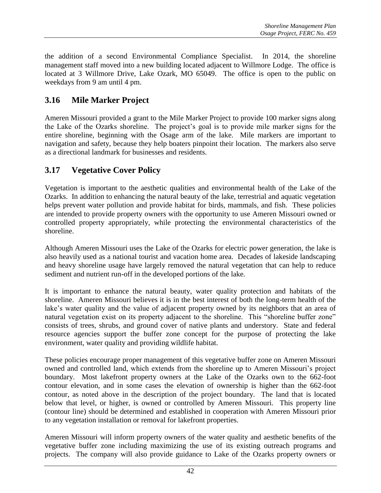the addition of a second Environmental Compliance Specialist. In 2014, the shoreline management staff moved into a new building located adjacent to Willmore Lodge. The office is located at 3 Willmore Drive, Lake Ozark, MO 65049. The office is open to the public on weekdays from 9 am until 4 pm.

# **3.16 Mile Marker Project**

Ameren Missouri provided a grant to the Mile Marker Project to provide 100 marker signs along the Lake of the Ozarks shoreline. The project's goal is to provide mile marker signs for the entire shoreline, beginning with the Osage arm of the lake. Mile markers are important to navigation and safety, because they help boaters pinpoint their location. The markers also serve as a directional landmark for businesses and residents.

# **3.17 Vegetative Cover Policy**

Vegetation is important to the aesthetic qualities and environmental health of the Lake of the Ozarks. In addition to enhancing the natural beauty of the lake, terrestrial and aquatic vegetation helps prevent water pollution and provide habitat for birds, mammals, and fish. These policies are intended to provide property owners with the opportunity to use Ameren Missouri owned or controlled property appropriately, while protecting the environmental characteristics of the shoreline.

Although Ameren Missouri uses the Lake of the Ozarks for electric power generation, the lake is also heavily used as a national tourist and vacation home area. Decades of lakeside landscaping and heavy shoreline usage have largely removed the natural vegetation that can help to reduce sediment and nutrient run-off in the developed portions of the lake.

It is important to enhance the natural beauty, water quality protection and habitats of the shoreline. Ameren Missouri believes it is in the best interest of both the long-term health of the lake's water quality and the value of adjacent property owned by its neighbors that an area of natural vegetation exist on its property adjacent to the shoreline. This "shoreline buffer zone" consists of trees, shrubs, and ground cover of native plants and understory. State and federal resource agencies support the buffer zone concept for the purpose of protecting the lake environment, water quality and providing wildlife habitat.

These policies encourage proper management of this vegetative buffer zone on Ameren Missouri owned and controlled land, which extends from the shoreline up to Ameren Missouri's project boundary. Most lakefront property owners at the Lake of the Ozarks own to the 662-foot contour elevation, and in some cases the elevation of ownership is higher than the 662-foot contour, as noted above in the description of the project boundary. The land that is located below that level, or higher, is owned or controlled by Ameren Missouri. This property line (contour line) should be determined and established in cooperation with Ameren Missouri prior to any vegetation installation or removal for lakefront properties.

Ameren Missouri will inform property owners of the water quality and aesthetic benefits of the vegetative buffer zone including maximizing the use of its existing outreach programs and projects. The company will also provide guidance to Lake of the Ozarks property owners or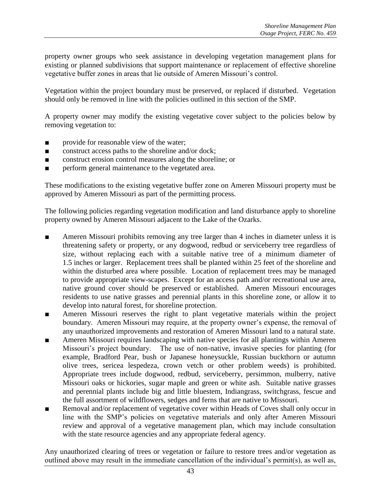property owner groups who seek assistance in developing vegetation management plans for existing or planned subdivisions that support maintenance or replacement of effective shoreline vegetative buffer zones in areas that lie outside of Ameren Missouri's control.

Vegetation within the project boundary must be preserved, or replaced if disturbed. Vegetation should only be removed in line with the policies outlined in this section of the SMP.

A property owner may modify the existing vegetative cover subject to the policies below by removing vegetation to:

- provide for reasonable view of the water;
- construct access paths to the shoreline and/or dock;
- construct erosion control measures along the shoreline; or
- perform general maintenance to the vegetated area.

These modifications to the existing vegetative buffer zone on Ameren Missouri property must be approved by Ameren Missouri as part of the permitting process.

The following policies regarding vegetation modification and land disturbance apply to shoreline property owned by Ameren Missouri adjacent to the Lake of the Ozarks.

- Ameren Missouri prohibits removing any tree larger than 4 inches in diameter unless it is threatening safety or property, or any dogwood, redbud or serviceberry tree regardless of size, without replacing each with a suitable native tree of a minimum diameter of 1.5 inches or larger. Replacement trees shall be planted within 25 feet of the shoreline and within the disturbed area where possible. Location of replacement trees may be managed to provide appropriate view-scapes. Except for an access path and/or recreational use area, native ground cover should be preserved or established. Ameren Missouri encourages residents to use native grasses and perennial plants in this shoreline zone, or allow it to develop into natural forest, for shoreline protection.
- Ameren Missouri reserves the right to plant vegetative materials within the project boundary. Ameren Missouri may require, at the property owner's expense, the removal of any unauthorized improvements and restoration of Ameren Missouri land to a natural state.
- Ameren Missouri requires landscaping with native species for all plantings within Ameren Missouri's project boundary. The use of non-native, invasive species for planting (for example, Bradford Pear, bush or Japanese honeysuckle, Russian buckthorn or autumn olive trees, sericea lespedeza, crown vetch or other problem weeds) is prohibited. Appropriate trees include dogwood, redbud, serviceberry, persimmon, mulberry, native Missouri oaks or hickories, sugar maple and green or white ash. Suitable native grasses and perennial plants include big and little bluestem, Indiangrass, switchgrass, fescue and the full assortment of wildflowers, sedges and ferns that are native to Missouri.
- Removal and/or replacement of vegetative cover within Heads of Coves shall only occur in line with the SMP's policies on vegetative materials and only after Ameren Missouri review and approval of a vegetative management plan, which may include consultation with the state resource agencies and any appropriate federal agency.

Any unauthorized clearing of trees or vegetation or failure to restore trees and/or vegetation as outlined above may result in the immediate cancellation of the individual's permit(s), as well as,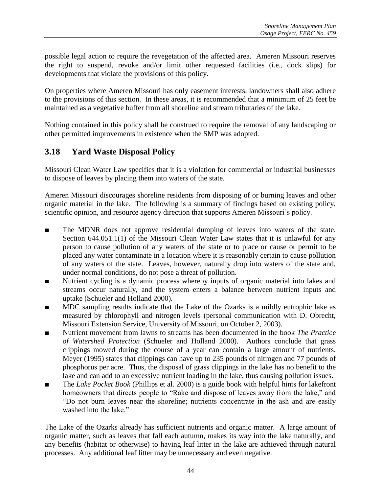possible legal action to require the revegetation of the affected area. Ameren Missouri reserves the right to suspend, revoke and/or limit other requested facilities (i.e., dock slips) for developments that violate the provisions of this policy.

On properties where Ameren Missouri has only easement interests, landowners shall also adhere to the provisions of this section. In these areas, it is recommended that a minimum of 25 feet be maintained as a vegetative buffer from all shoreline and stream tributaries of the lake.

Nothing contained in this policy shall be construed to require the removal of any landscaping or other permitted improvements in existence when the SMP was adopted.

# **3.18 Yard Waste Disposal Policy**

Missouri Clean Water Law specifies that it is a violation for commercial or industrial businesses to dispose of leaves by placing them into waters of the state.

Ameren Missouri discourages shoreline residents from disposing of or burning leaves and other organic material in the lake. The following is a summary of findings based on existing policy, scientific opinion, and resource agency direction that supports Ameren Missouri's policy.

- The MDNR does not approve residential dumping of leaves into waters of the state. Section 644.051.1(1) of the Missouri Clean Water Law states that it is unlawful for any person to cause pollution of any waters of the state or to place or cause or permit to be placed any water contaminate in a location where it is reasonably certain to cause pollution of any waters of the state. Leaves, however, naturally drop into waters of the state and, under normal conditions, do not pose a threat of pollution.
- Nutrient cycling is a dynamic process whereby inputs of organic material into lakes and streams occur naturally, and the system enters a balance between nutrient inputs and uptake (Schueler and Holland 2000).
- MDC sampling results indicate that the Lake of the Ozarks is a mildly eutrophic lake as measured by chlorophyll and nitrogen levels (personal communication with D. Obrecht, Missouri Extension Service, University of Missouri, on October 2, 2003).
- Nutrient movement from lawns to streams has been documented in the book *The Practice of Watershed Protection* (Schueler and Holland 2000). Authors conclude that grass clippings mowed during the course of a year can contain a large amount of nutrients. Meyer (1995) states that clippings can have up to 235 pounds of nitrogen and 77 pounds of phosphorus per acre. Thus, the disposal of grass clippings in the lake has no benefit to the lake and can add to an excessive nutrient loading in the lake, thus causing pollution issues.
- The *Lake Pocket Book* (Phillips et al. 2000) is a guide book with helpful hints for lakefront homeowners that directs people to "Rake and dispose of leaves away from the lake," and "Do not burn leaves near the shoreline; nutrients concentrate in the ash and are easily washed into the lake."

The Lake of the Ozarks already has sufficient nutrients and organic matter. A large amount of organic matter, such as leaves that fall each autumn, makes its way into the lake naturally, and any benefits (habitat or otherwise) to having leaf litter in the lake are achieved through natural processes. Any additional leaf litter may be unnecessary and even negative.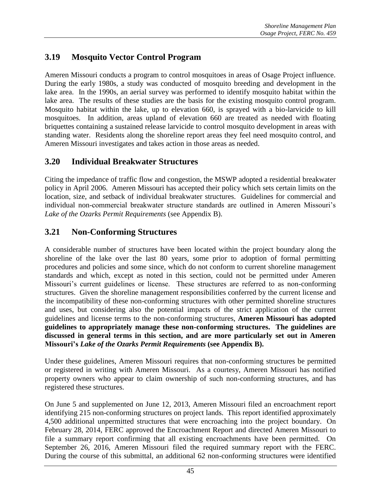# **3.19 Mosquito Vector Control Program**

Ameren Missouri conducts a program to control mosquitoes in areas of Osage Project influence. During the early 1980s, a study was conducted of mosquito breeding and development in the lake area. In the 1990s, an aerial survey was performed to identify mosquito habitat within the lake area. The results of these studies are the basis for the existing mosquito control program. Mosquito habitat within the lake, up to elevation 660, is sprayed with a bio-larvicide to kill mosquitoes. In addition, areas upland of elevation 660 are treated as needed with floating briquettes containing a sustained release larvicide to control mosquito development in areas with standing water. Residents along the shoreline report areas they feel need mosquito control, and Ameren Missouri investigates and takes action in those areas as needed.

# **3.20 Individual Breakwater Structures**

Citing the impedance of traffic flow and congestion, the MSWP adopted a residential breakwater policy in April 2006. Ameren Missouri has accepted their policy which sets certain limits on the location, size, and setback of individual breakwater structures. Guidelines for commercial and individual non-commercial breakwater structure standards are outlined in Ameren Missouri's *Lake of the Ozarks Permit Requirements* (see Appendix B).

# **3.21 Non-Conforming Structures**

A considerable number of structures have been located within the project boundary along the shoreline of the lake over the last 80 years, some prior to adoption of formal permitting procedures and policies and some since, which do not conform to current shoreline management standards and which, except as noted in this section, could not be permitted under Ameren Missouri's current guidelines or license. These structures are referred to as non-conforming structures. Given the shoreline management responsibilities conferred by the current license and the incompatibility of these non-conforming structures with other permitted shoreline structures and uses, but considering also the potential impacts of the strict application of the current guidelines and license terms to the non-conforming structures, **Ameren Missouri has adopted guidelines to appropriately manage these non-conforming structures. The guidelines are discussed in general terms in this section, and are more particularly set out in Ameren Missouri's** *Lake of the Ozarks Permit Requirements* **(see Appendix B).**

Under these guidelines, Ameren Missouri requires that non-conforming structures be permitted or registered in writing with Ameren Missouri. As a courtesy, Ameren Missouri has notified property owners who appear to claim ownership of such non-conforming structures, and has registered these structures.

On June 5 and supplemented on June 12, 2013, Ameren Missouri filed an encroachment report identifying 215 non-conforming structures on project lands. This report identified approximately 4,500 additional unpermitted structures that were encroaching into the project boundary. On February 28, 2014, FERC approved the Encroachment Report and directed Ameren Missouri to file a summary report confirming that all existing encroachments have been permitted. On September 26, 2016, Ameren Missouri filed the required summary report with the FERC. During the course of this submittal, an additional 62 non-conforming structures were identified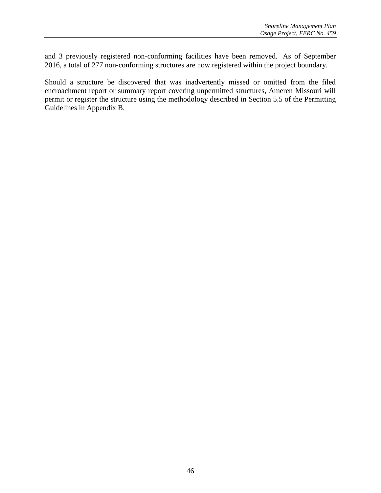and 3 previously registered non-conforming facilities have been removed. As of September 2016, a total of 277 non-conforming structures are now registered within the project boundary.

Should a structure be discovered that was inadvertently missed or omitted from the filed encroachment report or summary report covering unpermitted structures, Ameren Missouri will permit or register the structure using the methodology described in Section 5.5 of the Permitting Guidelines in Appendix B.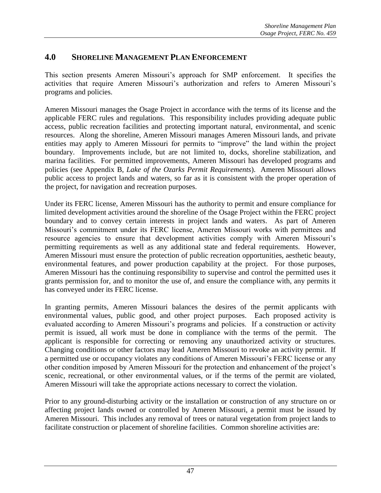### **4.0 SHORELINE MANAGEMENT PLAN ENFORCEMENT**

This section presents Ameren Missouri's approach for SMP enforcement. It specifies the activities that require Ameren Missouri's authorization and refers to Ameren Missouri's programs and policies.

Ameren Missouri manages the Osage Project in accordance with the terms of its license and the applicable FERC rules and regulations. This responsibility includes providing adequate public access, public recreation facilities and protecting important natural, environmental, and scenic resources. Along the shoreline, Ameren Missouri manages Ameren Missouri lands, and private entities may apply to Ameren Missouri for permits to "improve" the land within the project boundary. Improvements include, but are not limited to, docks, shoreline stabilization, and marina facilities. For permitted improvements, Ameren Missouri has developed programs and policies (see Appendix B, *Lake of the Ozarks Permit Requirements*). Ameren Missouri allows public access to project lands and waters, so far as it is consistent with the proper operation of the project, for navigation and recreation purposes.

Under its FERC license, Ameren Missouri has the authority to permit and ensure compliance for limited development activities around the shoreline of the Osage Project within the FERC project boundary and to convey certain interests in project lands and waters. As part of Ameren Missouri's commitment under its FERC license, Ameren Missouri works with permittees and resource agencies to ensure that development activities comply with Ameren Missouri's permitting requirements as well as any additional state and federal requirements. However, Ameren Missouri must ensure the protection of public recreation opportunities, aesthetic beauty, environmental features, and power production capability at the project. For those purposes, Ameren Missouri has the continuing responsibility to supervise and control the permitted uses it grants permission for, and to monitor the use of, and ensure the compliance with, any permits it has conveyed under its FERC license.

In granting permits, Ameren Missouri balances the desires of the permit applicants with environmental values, public good, and other project purposes. Each proposed activity is evaluated according to Ameren Missouri's programs and policies. If a construction or activity permit is issued, all work must be done in compliance with the terms of the permit. The applicant is responsible for correcting or removing any unauthorized activity or structures. Changing conditions or other factors may lead Ameren Missouri to revoke an activity permit. If a permitted use or occupancy violates any conditions of Ameren Missouri's FERC license or any other condition imposed by Ameren Missouri for the protection and enhancement of the project's scenic, recreational, or other environmental values, or if the terms of the permit are violated, Ameren Missouri will take the appropriate actions necessary to correct the violation.

Prior to any ground-disturbing activity or the installation or construction of any structure on or affecting project lands owned or controlled by Ameren Missouri, a permit must be issued by Ameren Missouri. This includes any removal of trees or natural vegetation from project lands to facilitate construction or placement of shoreline facilities. Common shoreline activities are: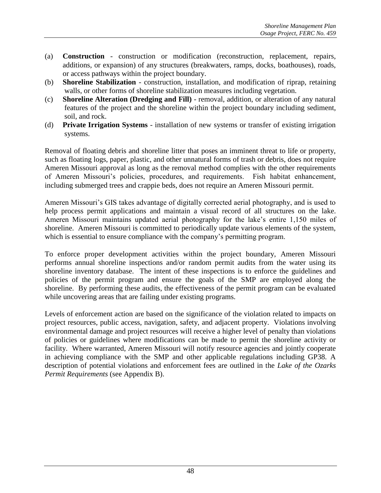- (a) **Construction** construction or modification (reconstruction, replacement, repairs, additions, or expansion) of any structures (breakwaters, ramps, docks, boathouses), roads, or access pathways within the project boundary.
- (b) **Shoreline Stabilization** construction, installation, and modification of riprap, retaining walls, or other forms of shoreline stabilization measures including vegetation.
- (c) **Shoreline Alteration (Dredging and Fill)** removal, addition, or alteration of any natural features of the project and the shoreline within the project boundary including sediment, soil, and rock.
- (d) **Private Irrigation Systems** installation of new systems or transfer of existing irrigation systems.

Removal of floating debris and shoreline litter that poses an imminent threat to life or property, such as floating logs, paper, plastic, and other unnatural forms of trash or debris, does not require Ameren Missouri approval as long as the removal method complies with the other requirements of Ameren Missouri's policies, procedures, and requirements. Fish habitat enhancement, including submerged trees and crappie beds, does not require an Ameren Missouri permit.

Ameren Missouri's GIS takes advantage of digitally corrected aerial photography, and is used to help process permit applications and maintain a visual record of all structures on the lake. Ameren Missouri maintains updated aerial photography for the lake's entire 1,150 miles of shoreline. Ameren Missouri is committed to periodically update various elements of the system, which is essential to ensure compliance with the company's permitting program.

To enforce proper development activities within the project boundary, Ameren Missouri performs annual shoreline inspections and/or random permit audits from the water using its shoreline inventory database. The intent of these inspections is to enforce the guidelines and policies of the permit program and ensure the goals of the SMP are employed along the shoreline. By performing these audits, the effectiveness of the permit program can be evaluated while uncovering areas that are failing under existing programs.

Levels of enforcement action are based on the significance of the violation related to impacts on project resources, public access, navigation, safety, and adjacent property. Violations involving environmental damage and project resources will receive a higher level of penalty than violations of policies or guidelines where modifications can be made to permit the shoreline activity or facility. Where warranted, Ameren Missouri will notify resource agencies and jointly cooperate in achieving compliance with the SMP and other applicable regulations including GP38. A description of potential violations and enforcement fees are outlined in the *Lake of the Ozarks Permit Requirements* (see Appendix B).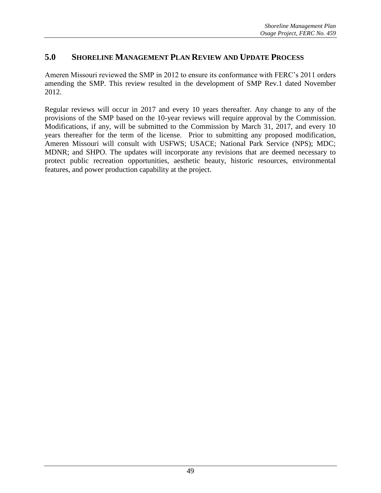# **5.0 SHORELINE MANAGEMENT PLAN REVIEW AND UPDATE PROCESS**

Ameren Missouri reviewed the SMP in 2012 to ensure its conformance with FERC's 2011 orders amending the SMP. This review resulted in the development of SMP Rev.1 dated November 2012.

Regular reviews will occur in 2017 and every 10 years thereafter. Any change to any of the provisions of the SMP based on the 10-year reviews will require approval by the Commission. Modifications, if any, will be submitted to the Commission by March 31, 2017, and every 10 years thereafter for the term of the license. Prior to submitting any proposed modification, Ameren Missouri will consult with USFWS; USACE; National Park Service (NPS); MDC; MDNR; and SHPO. The updates will incorporate any revisions that are deemed necessary to protect public recreation opportunities, aesthetic beauty, historic resources, environmental features, and power production capability at the project.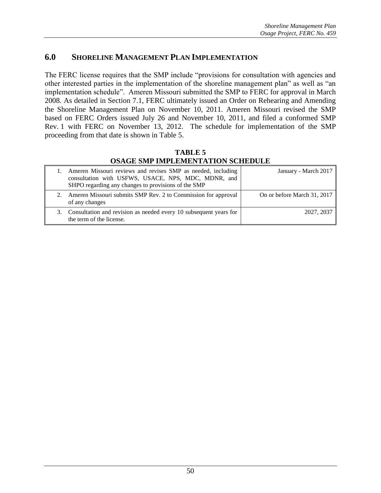### **6.0 SHORELINE MANAGEMENT PLAN IMPLEMENTATION**

The FERC license requires that the SMP include "provisions for consultation with agencies and other interested parties in the implementation of the shoreline management plan" as well as "an implementation schedule". Ameren Missouri submitted the SMP to FERC for approval in March 2008. As detailed in Section 7.1, FERC ultimately issued an Order on Rehearing and Amending the Shoreline Management Plan on November 10, 2011. Ameren Missouri revised the SMP based on FERC Orders issued July 26 and November 10, 2011, and filed a conformed SMP Rev. 1 with FERC on November 13, 2012. The schedule for implementation of the SMP proceeding from that date is shown in Table 5.

**TABLE 5 OSAGE SMP IMPLEMENTATION SCHEDULE**

| 1. Ameren Missouri reviews and revises SMP as needed, including<br>consultation with USFWS, USACE, NPS, MDC, MDNR, and<br>SHPO regarding any changes to provisions of the SMP | January - March 2017        |
|-------------------------------------------------------------------------------------------------------------------------------------------------------------------------------|-----------------------------|
| 2. Ameren Missouri submits SMP Rev. 2 to Commission for approval<br>of any changes                                                                                            | On or before March 31, 2017 |
| 3. Consultation and revision as needed every 10 subsequent years for<br>the term of the license.                                                                              | 2027, 2037                  |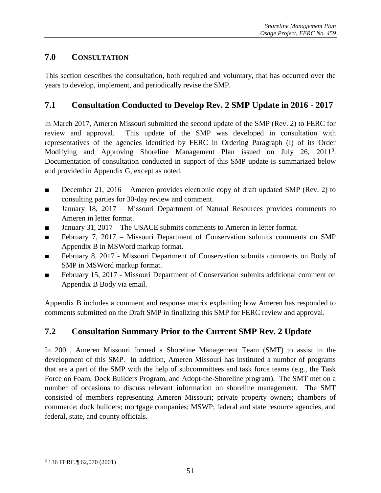# **7.0 CONSULTATION**

This section describes the consultation, both required and voluntary, that has occurred over the years to develop, implement, and periodically revise the SMP.

### **7.1 Consultation Conducted to Develop Rev. 2 SMP Update in 2016 - 2017**

In March 2017, Ameren Missouri submitted the second update of the SMP (Rev. 2) to FERC for review and approval. This update of the SMP was developed in consultation with representatives of the agencies identified by FERC in Ordering Paragraph (I) of its Order Modifying and Approving Shoreline Management Plan issued on July 26, 2011<sup>3</sup>. Documentation of consultation conducted in support of this SMP update is summarized below and provided in Appendix G, except as noted.

- December 21, 2016 Ameren provides electronic copy of draft updated SMP (Rev. 2) to consulting parties for 30-day review and comment.
- January 18, 2017 Missouri Department of Natural Resources provides comments to Ameren in letter format.
- January 31, 2017 The USACE submits comments to Ameren in letter format.
- February 7, 2017 Missouri Department of Conservation submits comments on SMP Appendix B in MSWord markup format.
- February 8, 2017 Missouri Department of Conservation submits comments on Body of SMP in MSWord markup format.
- February 15, 2017 Missouri Department of Conservation submits additional comment on Appendix B Body via email.

Appendix B includes a comment and response matrix explaining how Ameren has responded to comments submitted on the Draft SMP in finalizing this SMP for FERC review and approval.

# **7.2 Consultation Summary Prior to the Current SMP Rev. 2 Update**

In 2001, Ameren Missouri formed a Shoreline Management Team (SMT) to assist in the development of this SMP. In addition, Ameren Missouri has instituted a number of programs that are a part of the SMP with the help of subcommittees and task force teams (e.g., the Task Force on Foam, Dock Builders Program, and Adopt-the-Shoreline program). The SMT met on a number of occasions to discuss relevant information on shoreline management. The SMT consisted of members representing Ameren Missouri; private property owners; chambers of commerce; dock builders; mortgage companies; MSWP; federal and state resource agencies, and federal, state, and county officials.

 $\overline{a}$ <sup>3</sup> 136 FERC ¶ 62,070 (2001)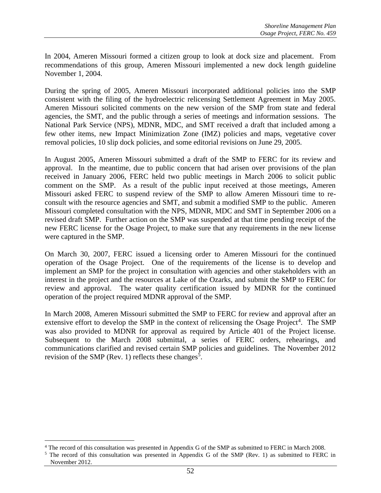In 2004, Ameren Missouri formed a citizen group to look at dock size and placement. From recommendations of this group, Ameren Missouri implemented a new dock length guideline November 1, 2004.

During the spring of 2005, Ameren Missouri incorporated additional policies into the SMP consistent with the filing of the hydroelectric relicensing Settlement Agreement in May 2005. Ameren Missouri solicited comments on the new version of the SMP from state and federal agencies, the SMT, and the public through a series of meetings and information sessions. The National Park Service (NPS), MDNR, MDC, and SMT received a draft that included among a few other items, new Impact Minimization Zone (IMZ) policies and maps, vegetative cover removal policies, 10 slip dock policies, and some editorial revisions on June 29, 2005.

In August 2005, Ameren Missouri submitted a draft of the SMP to FERC for its review and approval. In the meantime, due to public concern that had arisen over provisions of the plan received in January 2006, FERC held two public meetings in March 2006 to solicit public comment on the SMP. As a result of the public input received at those meetings, Ameren Missouri asked FERC to suspend review of the SMP to allow Ameren Missouri time to reconsult with the resource agencies and SMT, and submit a modified SMP to the public. Ameren Missouri completed consultation with the NPS, MDNR, MDC and SMT in September 2006 on a revised draft SMP. Further action on the SMP was suspended at that time pending receipt of the new FERC license for the Osage Project, to make sure that any requirements in the new license were captured in the SMP.

On March 30, 2007, FERC issued a licensing order to Ameren Missouri for the continued operation of the Osage Project. One of the requirements of the license is to develop and implement an SMP for the project in consultation with agencies and other stakeholders with an interest in the project and the resources at Lake of the Ozarks, and submit the SMP to FERC for review and approval. The water quality certification issued by MDNR for the continued operation of the project required MDNR approval of the SMP.

In March 2008, Ameren Missouri submitted the SMP to FERC for review and approval after an extensive effort to develop the SMP in the context of relicensing the Osage Project<sup>4</sup>. The SMP was also provided to MDNR for approval as required by Article 401 of the Project license. Subsequent to the March 2008 submittal, a series of FERC orders, rehearings, and communications clarified and revised certain SMP policies and guidelines. The November 2012 revision of the SMP (Rev. 1) reflects these changes<sup>5</sup>.

 $\overline{a}$ 

<sup>4</sup> The record of this consultation was presented in Appendix G of the SMP as submitted to FERC in March 2008.

<sup>&</sup>lt;sup>5</sup> The record of this consultation was presented in Appendix G of the SMP (Rev. 1) as submitted to FERC in November 2012.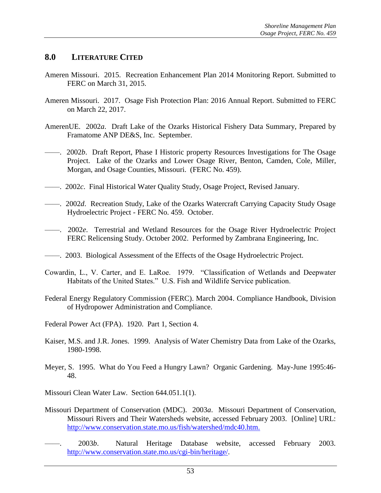#### **8.0 LITERATURE CITED**

- Ameren Missouri. 2015. Recreation Enhancement Plan 2014 Monitoring Report. Submitted to FERC on March 31, 2015.
- Ameren Missouri. 2017. Osage Fish Protection Plan: 2016 Annual Report. Submitted to FERC on March 22, 2017.
- AmerenUE. 2002*a*. Draft Lake of the Ozarks Historical Fishery Data Summary, Prepared by Framatome ANP DE&S, Inc. September.
- ——. 2002*b*. Draft Report, Phase I Historic property Resources Investigations for The Osage Project. Lake of the Ozarks and Lower Osage River, Benton, Camden, Cole, Miller, Morgan, and Osage Counties, Missouri. (FERC No. 459).
- ——. 2002*c*. Final Historical Water Quality Study, Osage Project, Revised January.
- ——. 2002*d*. Recreation Study, Lake of the Ozarks Watercraft Carrying Capacity Study Osage Hydroelectric Project - FERC No. 459. October.
- ——. 2002*e*. Terrestrial and Wetland Resources for the Osage River Hydroelectric Project FERC Relicensing Study. October 2002. Performed by Zambrana Engineering, Inc.
- ——. 2003. Biological Assessment of the Effects of the Osage Hydroelectric Project.
- Cowardin, L., V. Carter, and E. LaRoe. 1979. "Classification of Wetlands and Deepwater Habitats of the United States." U.S. Fish and Wildlife Service publication.
- Federal Energy Regulatory Commission (FERC). March 2004. Compliance Handbook, Division of Hydropower Administration and Compliance.
- Federal Power Act (FPA). 1920. Part 1, Section 4.
- Kaiser, M.S. and J.R. Jones. 1999. Analysis of Water Chemistry Data from Lake of the Ozarks, 1980-1998.
- Meyer, S. 1995. What do You Feed a Hungry Lawn? Organic Gardening. May-June 1995:46- 48.
- Missouri Clean Water Law. Section 644.051.1(1).
- Missouri Department of Conservation (MDC). 2003*a*. Missouri Department of Conservation, Missouri Rivers and Their Watersheds website, accessed February 2003. [Online] URL: http://www.conservation.state.mo.us/fish/watershed/mdc40.htm.
- ——. 2003*b*. Natural Heritage Database website, accessed February 2003. [http://www.conservation.state.mo.us/cgi-bin/heritage/.](http://www.conservation.state.mo.us/cgi-bin/heritage/)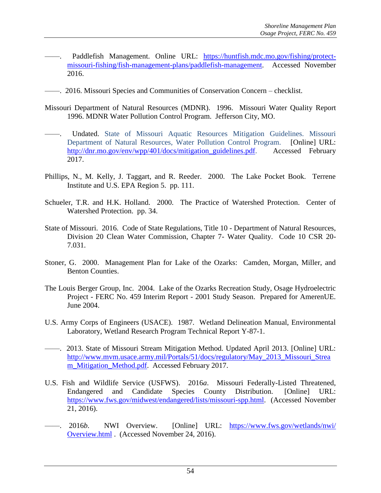- —. Paddlefish Management. Online URL: [https://huntfish.mdc.mo.gov/fishing/protect](https://huntfish.mdc.mo.gov/fishing/protect-missouri-fishing/fish-management-plans/paddlefish-management)[missouri-fishing/fish-management-plans/paddlefish-management.](https://huntfish.mdc.mo.gov/fishing/protect-missouri-fishing/fish-management-plans/paddlefish-management) Accessed November 2016.
- ——. 2016. Missouri Species and Communities of Conservation Concern checklist.
- Missouri Department of Natural Resources (MDNR). 1996. Missouri Water Quality Report 1996. MDNR Water Pollution Control Program. Jefferson City, MO.
- Undated. State of Missouri Aquatic Resources Mitigation Guidelines. Missouri Department of Natural Resources, Water Pollution Control Program. [Online] URL: [http://dnr.mo.gov/env/wpp/401/docs/mitigation\\_guidelines.pdf.](http://dnr.mo.gov/env/wpp/401/docs/mitigation_guidelines.pdf) Accessed February 2017.
- Phillips, N., M. Kelly, J. Taggart, and R. Reeder. 2000. The Lake Pocket Book. Terrene Institute and U.S. EPA Region 5. pp. 111.
- Schueler, T.R. and H.K. Holland. 2000. The Practice of Watershed Protection. Center of Watershed Protection. pp. 34.
- State of Missouri. 2016. Code of State Regulations, Title 10 Department of Natural Resources, Division 20 Clean Water Commission, Chapter 7- Water Quality. Code 10 CSR 20- 7.031.
- Stoner, G. 2000. Management Plan for Lake of the Ozarks: Camden, Morgan, Miller, and Benton Counties.
- The Louis Berger Group, Inc. 2004. Lake of the Ozarks Recreation Study, Osage Hydroelectric Project - FERC No. 459 Interim Report - 2001 Study Season. Prepared for AmerenUE. June 2004.
- U.S. Army Corps of Engineers (USACE). 1987. Wetland Delineation Manual, Environmental Laboratory, Wetland Research Program Technical Report Y-87-1.
- ——. 2013. State of Missouri Stream Mitigation Method. Updated April 2013. [Online] URL: [http://www.mvm.usace.army.mil/Portals/51/docs/regulatory/May\\_2013\\_Missouri\\_Strea](http://www.mvm.usace.army.mil/Portals/51/docs/regulatory/May_2013_Missouri_Stream_Mitigation_Method.pdf) [m\\_Mitigation\\_Method.pdf.](http://www.mvm.usace.army.mil/Portals/51/docs/regulatory/May_2013_Missouri_Stream_Mitigation_Method.pdf) Accessed February 2017.
- U.S. Fish and Wildlife Service (USFWS). 2016*a*. Missouri Federally-Listed Threatened, Endangered and Candidate Species County Distribution. [Online] URL: [https://www.fws.gov/midwest/endangered/lists/missouri-spp.html.](https://www.fws.gov/midwest/endangered/lists/missouri-spp.html) (Accessed November 21, 2016).
- ——. 2016*b*. NWI Overview. [Online] URL: <https://www.fws.gov/wetlands/nwi/> Overview.html . (Accessed November 24, 2016).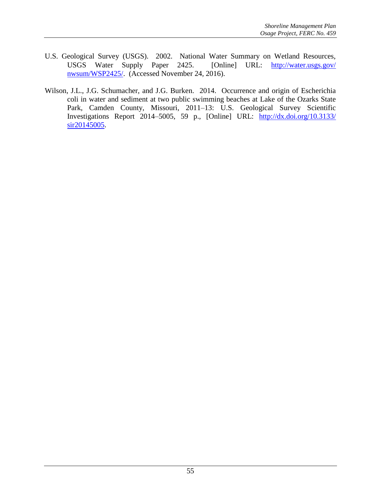- U.S. Geological Survey (USGS). 2002. National Water Summary on Wetland Resources, USGS Water Supply Paper 2425. [Online] URL: <http://water.usgs.gov/> nwsum/WSP2425/. (Accessed November 24, 2016).
- Wilson, J.L., J.G. Schumacher, and J.G. Burken. 2014. Occurrence and origin of Escherichia coli in water and sediment at two public swimming beaches at Lake of the Ozarks State Park, Camden County, Missouri, 2011–13: U.S. Geological Survey Scientific Investigations Report 2014–5005, 59 p., [Online] URL: <http://dx.doi.org/10.3133/> sir20145005.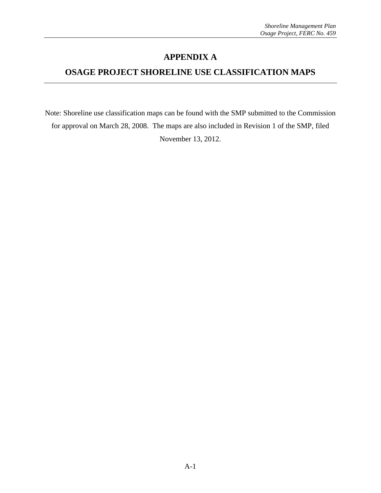# **APPENDIX A**

# **OSAGE PROJECT SHORELINE USE CLASSIFICATION MAPS**

Note: Shoreline use classification maps can be found with the SMP submitted to the Commission for approval on March 28, 2008. The maps are also included in Revision 1 of the SMP, filed November 13, 2012.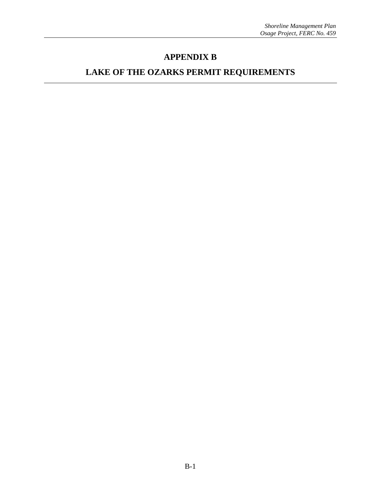# **APPENDIX B**

# **LAKE OF THE OZARKS PERMIT REQUIREMENTS**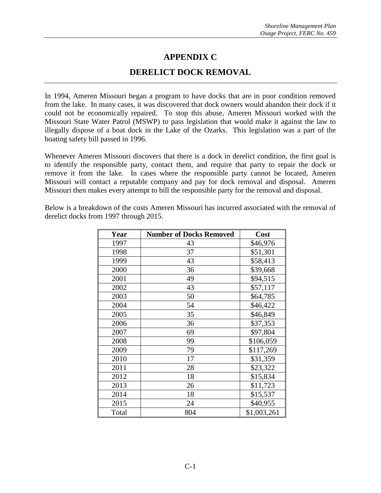# **APPENDIX C**

### **DERELICT DOCK REMOVAL**

In 1994, Ameren Missouri began a program to have docks that are in poor condition removed from the lake. In many cases, it was discovered that dock owners would abandon their dock if it could not be economically repaired. To stop this abuse, Ameren Missouri worked with the Missouri State Water Patrol (MSWP) to pass legislation that would make it against the law to illegally dispose of a boat dock in the Lake of the Ozarks. This legislation was a part of the boating safety bill passed in 1996.

Whenever Ameren Missouri discovers that there is a dock in derelict condition, the first goal is to identify the responsible party, contact them, and require that party to repair the dock or remove it from the lake. In cases where the responsible party cannot be located, Ameren Missouri will contact a reputable company and pay for dock removal and disposal. Ameren Missouri then makes every attempt to bill the responsible party for the removal and disposal.

Below is a breakdown of the costs Ameren Missouri has incurred associated with the removal of derelict docks from 1997 through 2015.

| Year  | <b>Number of Docks Removed</b> | Cost        |
|-------|--------------------------------|-------------|
| 1997  | 43                             | \$46,976    |
| 1998  | 37                             | \$51,301    |
| 1999  | 43                             | \$58,413    |
| 2000  | 36                             | \$39,668    |
| 2001  | 49                             | \$94,515    |
| 2002  | 43                             | \$57,117    |
| 2003  | 50                             | \$64,785    |
| 2004  | 54                             | \$46,422    |
| 2005  | 35                             | \$46,849    |
| 2006  | 36                             | \$37,353    |
| 2007  | 69                             | \$97,804    |
| 2008  | 99                             | \$106,059   |
| 2009  | 79                             | \$117,269   |
| 2010  | 17                             | \$31,359    |
| 2011  | 28                             | \$23,322    |
| 2012  | 18                             | \$15,834    |
| 2013  | 26                             | \$11,723    |
| 2014  | 18                             | \$15,537    |
| 2015  | 24                             | \$40,955    |
| Total | 804                            | \$1,003,261 |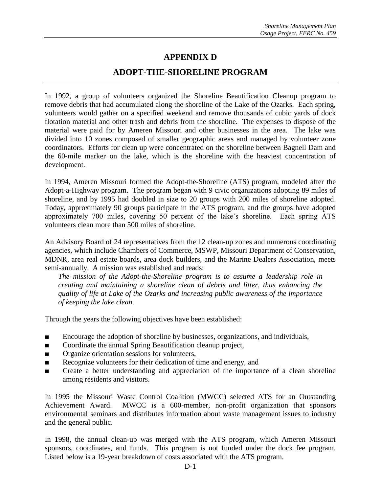# **APPENDIX D**

#### **ADOPT-THE-SHORELINE PROGRAM**

In 1992, a group of volunteers organized the Shoreline Beautification Cleanup program to remove debris that had accumulated along the shoreline of the Lake of the Ozarks. Each spring, volunteers would gather on a specified weekend and remove thousands of cubic yards of dock flotation material and other trash and debris from the shoreline. The expenses to dispose of the material were paid for by Ameren Missouri and other businesses in the area. The lake was divided into 10 zones composed of smaller geographic areas and managed by volunteer zone coordinators. Efforts for clean up were concentrated on the shoreline between Bagnell Dam and the 60-mile marker on the lake, which is the shoreline with the heaviest concentration of development.

In 1994, Ameren Missouri formed the Adopt-the-Shoreline (ATS) program, modeled after the Adopt-a-Highway program. The program began with 9 civic organizations adopting 89 miles of shoreline, and by 1995 had doubled in size to 20 groups with 200 miles of shoreline adopted. Today, approximately 90 groups participate in the ATS program, and the groups have adopted approximately 700 miles, covering 50 percent of the lake's shoreline. Each spring ATS volunteers clean more than 500 miles of shoreline.

An Advisory Board of 24 representatives from the 12 clean-up zones and numerous coordinating agencies, which include Chambers of Commerce, MSWP, Missouri Department of Conservation, MDNR, area real estate boards, area dock builders, and the Marine Dealers Association, meets semi-annually. A mission was established and reads:

*The mission of the Adopt-the-Shoreline program is to assume a leadership role in creating and maintaining a shoreline clean of debris and litter, thus enhancing the quality of life at Lake of the Ozarks and increasing public awareness of the importance of keeping the lake clean.*

Through the years the following objectives have been established:

- Encourage the adoption of shoreline by businesses, organizations, and individuals,
- Coordinate the annual Spring Beautification cleanup project,
- Organize orientation sessions for volunteers,
- Recognize volunteers for their dedication of time and energy, and
- Create a better understanding and appreciation of the importance of a clean shoreline among residents and visitors.

In 1995 the Missouri Waste Control Coalition (MWCC) selected ATS for an Outstanding Achievement Award. MWCC is a 600-member, non-profit organization that sponsors environmental seminars and distributes information about waste management issues to industry and the general public.

In 1998, the annual clean-up was merged with the ATS program, which Ameren Missouri sponsors, coordinates, and funds. This program is not funded under the dock fee program. Listed below is a 19-year breakdown of costs associated with the ATS program.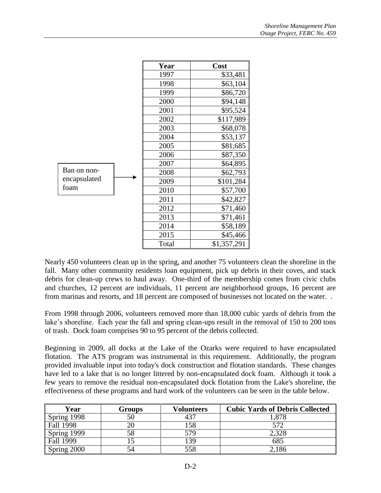|              | Year  | Cost        |
|--------------|-------|-------------|
|              | 1997  | \$33,481    |
|              | 1998  | \$63,104    |
|              | 1999  | \$86,720    |
|              | 2000  | \$94,148    |
|              | 2001  | \$95,524    |
|              | 2002  | \$117,989   |
|              | 2003  | \$68,078    |
|              | 2004  | \$53,137    |
|              | 2005  | \$81,685    |
|              | 2006  | \$87,350    |
|              | 2007  | \$64,895    |
| Ban on non-  | 2008  | \$62,793    |
| encapsulated | 2009  | \$101,284   |
| foam         | 2010  | \$57,700    |
|              | 2011  | \$42,827    |
|              | 2012  | \$71,460    |
|              | 2013  | \$71,461    |
|              | 2014  | \$58,189    |
|              | 2015  | \$45,466    |
|              | Total | \$1,357,291 |

Nearly 450 volunteers clean up in the spring, and another 75 volunteers clean the shoreline in the fall. Many other community residents loan equipment, pick up debris in their coves, and stack debris for clean-up crews to haul away. One-third of the membership comes from civic clubs and churches, 12 percent are individuals, 11 percent are neighborhood groups, 16 percent are from marinas and resorts, and 18 percent are composed of businesses not located on the water. .

From 1998 through 2006, volunteers removed more than 18,000 cubic yards of debris from the lake's shoreline. Each year the fall and spring clean-ups result in the removal of 150 to 200 tons of trash. Dock foam comprises 90 to 95 percent of the debris collected.

Beginning in 2009, all docks at the Lake of the Ozarks were required to have encapsulated flotation. The ATS program was instrumental in this requirement. Additionally, the program provided invaluable input into today's dock construction and flotation standards. These changes have led to a lake that is no longer littered by non-encapsulated dock foam. Although it took a few years to remove the residual non-encapsulated dock flotation from the Lake's shoreline, the effectiveness of these programs and hard work of the volunteers can be seen in the table below.

| Year        | Groups | Volunteers | <b>Cubic Yards of Debris Collected</b> |
|-------------|--------|------------|----------------------------------------|
| Spring 1998 | 50     |            | .878                                   |
| Fall 1998   |        | 58         | 572                                    |
| Spring 1999 | 58     | 579        | 2,328                                  |
| Fall 1999   |        | 39         | 685                                    |
| Spring 2000 |        | 558        | 186                                    |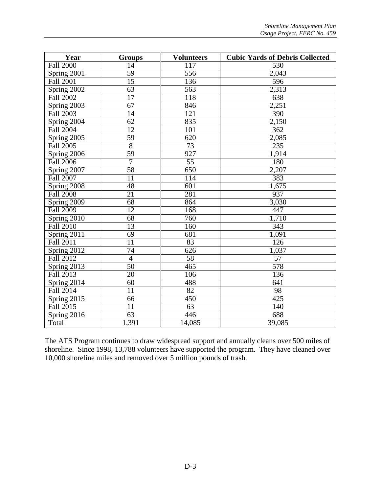| Year             | <b>Groups</b>   | <b>Volunteers</b> | <b>Cubic Yards of Debris Collected</b> |
|------------------|-----------------|-------------------|----------------------------------------|
| <b>Fall 2000</b> | 14              | 117               | $\overline{530}$                       |
| Spring 2001      | 59              | 556               | 2,043                                  |
| <b>Fall 2001</b> | $\overline{15}$ | 136               | 596                                    |
| Spring 2002      | 63              | 563               | 2,313                                  |
| <b>Fall 2002</b> | $\overline{17}$ | 118               | $\overline{638}$                       |
| Spring 2003      | 67              | 846               | 2,251                                  |
| <b>Fall 2003</b> | $\overline{14}$ | 121               | 390                                    |
| Spring 2004      | $\overline{62}$ | 835               | 2,150                                  |
| Fall 2004        | 12              | 101               | 362                                    |
| Spring 2005      | $\overline{59}$ | $\overline{620}$  | 2,085                                  |
| Fall 2005        | $\overline{8}$  | 73                | 235                                    |
| Spring 2006      | $\overline{59}$ | 927               | 1,914                                  |
| <b>Fall 2006</b> | $\overline{7}$  | $\overline{55}$   | 180                                    |
| Spring 2007      | 58              | 650               | 2,207                                  |
| Fall 2007        | $\overline{11}$ | 114               | 383                                    |
| Spring 2008      | 48              | 601               | 1,675                                  |
| <b>Fall 2008</b> | $\overline{21}$ | 281               | 937                                    |
| Spring 2009      | 68              | 864               | 3,030                                  |
| <b>Fall 2009</b> | 12              | 168               | 447                                    |
| Spring 2010      | 68              | 760               | 1,710                                  |
| <b>Fall 2010</b> | $\overline{13}$ | 160               | $\overline{343}$                       |
| Spring 2011      | 69              | 681               | 1,091                                  |
| Fall 2011        | $\overline{11}$ | 83                | $\overline{126}$                       |
| Spring 2012      | $\overline{74}$ | $\overline{626}$  | 1,037                                  |
| Fall 2012        | $\overline{4}$  | 58                | $\overline{57}$                        |
| Spring 2013      | 50              | 465               | 578                                    |
| <b>Fall 2013</b> | $\overline{20}$ | 106               | 136                                    |
| Spring 2014      | $\overline{60}$ | 488               | 641                                    |
| <b>Fall 2014</b> | $\overline{11}$ | 82                | 98                                     |
| Spring 2015      | 66              | 450               | $\overline{425}$                       |
| Fall 2015        | $\overline{11}$ | 63                | 140                                    |
| Spring 2016      | $\overline{63}$ | 446               | 688                                    |
| Total            | 1,391           | 14,085            | 39,085                                 |

The ATS Program continues to draw widespread support and annually cleans over 500 miles of shoreline. Since 1998, 13,788 volunteers have supported the program. They have cleaned over 10,000 shoreline miles and removed over 5 million pounds of trash.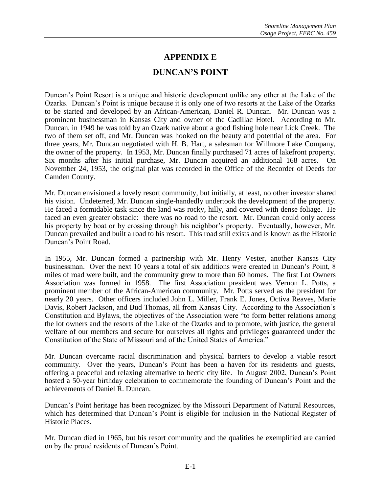# **APPENDIX E**

#### **DUNCAN'S POINT**

Duncan's Point Resort is a unique and historic development unlike any other at the Lake of the Ozarks. Duncan's Point is unique because it is only one of two resorts at the Lake of the Ozarks to be started and developed by an African-American, Daniel R. Duncan. Mr. Duncan was a prominent businessman in Kansas City and owner of the Cadillac Hotel. According to Mr. Duncan, in 1949 he was told by an Ozark native about a good fishing hole near Lick Creek. The two of them set off, and Mr. Duncan was hooked on the beauty and potential of the area. For three years, Mr. Duncan negotiated with H. B. Hart, a salesman for Willmore Lake Company, the owner of the property. In 1953, Mr. Duncan finally purchased 71 acres of lakefront property. Six months after his initial purchase, Mr. Duncan acquired an additional 168 acres. On November 24, 1953, the original plat was recorded in the Office of the Recorder of Deeds for Camden County.

Mr. Duncan envisioned a lovely resort community, but initially, at least, no other investor shared his vision. Undeterred, Mr. Duncan single-handedly undertook the development of the property. He faced a formidable task since the land was rocky, hilly, and covered with dense foliage. He faced an even greater obstacle: there was no road to the resort. Mr. Duncan could only access his property by boat or by crossing through his neighbor's property. Eventually, however, Mr. Duncan prevailed and built a road to his resort. This road still exists and is known as the Historic Duncan's Point Road.

In 1955, Mr. Duncan formed a partnership with Mr. Henry Vester, another Kansas City businessman. Over the next 10 years a total of six additions were created in Duncan's Point, 8 miles of road were built, and the community grew to more than 60 homes. The first Lot Owners Association was formed in 1958. The first Association president was Vernon L. Potts, a prominent member of the African-American community. Mr. Potts served as the president for nearly 20 years. Other officers included John L. Miller, Frank E. Jones, Octiva Reaves, Marie Davis, Robert Jackson, and Bud Thomas, all from Kansas City. According to the Association's Constitution and Bylaws, the objectives of the Association were "to form better relations among the lot owners and the resorts of the Lake of the Ozarks and to promote, with justice, the general welfare of our members and secure for ourselves all rights and privileges guaranteed under the Constitution of the State of Missouri and of the United States of America."

Mr. Duncan overcame racial discrimination and physical barriers to develop a viable resort community. Over the years, Duncan's Point has been a haven for its residents and guests, offering a peaceful and relaxing alternative to hectic city life. In August 2002, Duncan's Point hosted a 50-year birthday celebration to commemorate the founding of Duncan's Point and the achievements of Daniel R. Duncan.

Duncan's Point heritage has been recognized by the Missouri Department of Natural Resources, which has determined that Duncan's Point is eligible for inclusion in the National Register of Historic Places.

Mr. Duncan died in 1965, but his resort community and the qualities he exemplified are carried on by the proud residents of Duncan's Point.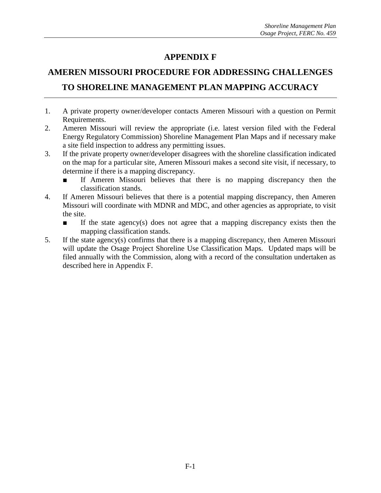# **APPENDIX F**

# **AMEREN MISSOURI PROCEDURE FOR ADDRESSING CHALLENGES TO SHORELINE MANAGEMENT PLAN MAPPING ACCURACY**

- 1. A private property owner/developer contacts Ameren Missouri with a question on Permit Requirements.
- 2. Ameren Missouri will review the appropriate (i.e. latest version filed with the Federal Energy Regulatory Commission) Shoreline Management Plan Maps and if necessary make a site field inspection to address any permitting issues.
- 3. If the private property owner/developer disagrees with the shoreline classification indicated on the map for a particular site, Ameren Missouri makes a second site visit, if necessary, to determine if there is a mapping discrepancy.
	- If Ameren Missouri believes that there is no mapping discrepancy then the classification stands.
- 4. If Ameren Missouri believes that there is a potential mapping discrepancy, then Ameren Missouri will coordinate with MDNR and MDC, and other agencies as appropriate, to visit the site.
	- If the state agency(s) does not agree that a mapping discrepancy exists then the mapping classification stands.
- 5. If the state agency(s) confirms that there is a mapping discrepancy, then Ameren Missouri will update the Osage Project Shoreline Use Classification Maps. Updated maps will be filed annually with the Commission, along with a record of the consultation undertaken as described here in Appendix F.